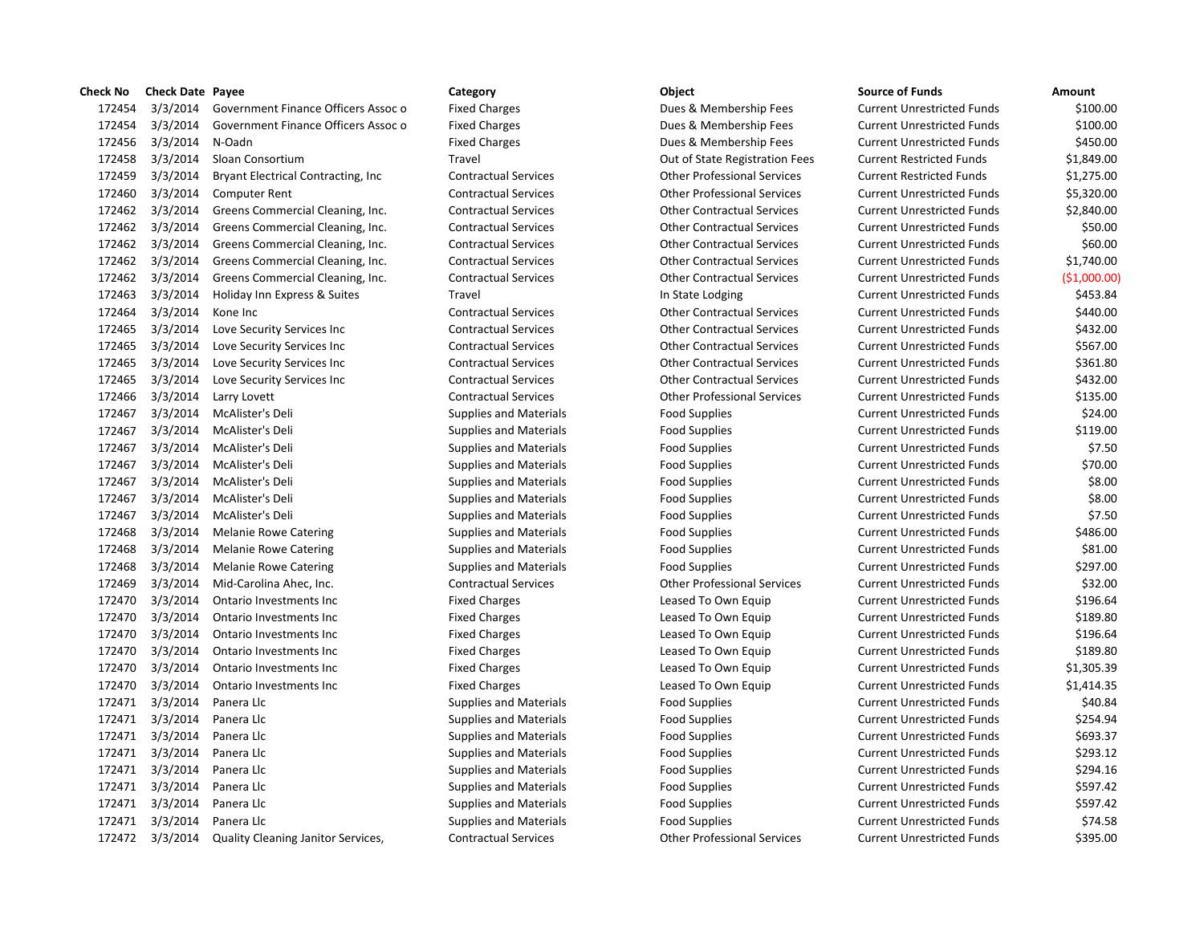| Check No | <b>Check Date Payee</b> |                                           | Category                      | Object                             | <b>Source of Funds</b>            | Amount  |
|----------|-------------------------|-------------------------------------------|-------------------------------|------------------------------------|-----------------------------------|---------|
| 172454   | 3/3/2014                | Government Finance Officers Assoc o       | <b>Fixed Charges</b>          | Dues & Membership Fees             | <b>Current Unrestricted Funds</b> | \$10    |
| 172454   | 3/3/2014                | Government Finance Officers Assoc o       | <b>Fixed Charges</b>          | Dues & Membership Fees             | <b>Current Unrestricted Funds</b> | \$10    |
| 172456   | 3/3/2014                | N-Oadn                                    | <b>Fixed Charges</b>          | Dues & Membership Fees             | <b>Current Unrestricted Funds</b> | \$45    |
| 172458   | 3/3/2014                | Sloan Consortium                          | Travel                        | Out of State Registration Fees     | <b>Current Restricted Funds</b>   | \$1,84  |
| 172459   | 3/3/2014                | Bryant Electrical Contracting, Inc        | <b>Contractual Services</b>   | <b>Other Professional Services</b> | <b>Current Restricted Funds</b>   | \$1,27  |
| 172460   | 3/3/2014                | <b>Computer Rent</b>                      | <b>Contractual Services</b>   | <b>Other Professional Services</b> | <b>Current Unrestricted Funds</b> | \$5,32  |
| 172462   | 3/3/2014                | Greens Commercial Cleaning, Inc.          | <b>Contractual Services</b>   | <b>Other Contractual Services</b>  | <b>Current Unrestricted Funds</b> | \$2,84  |
| 172462   | 3/3/2014                | Greens Commercial Cleaning, Inc.          | <b>Contractual Services</b>   | <b>Other Contractual Services</b>  | <b>Current Unrestricted Funds</b> | \$5     |
| 172462   | 3/3/2014                | Greens Commercial Cleaning, Inc.          | <b>Contractual Services</b>   | <b>Other Contractual Services</b>  | <b>Current Unrestricted Funds</b> | \$6     |
| 172462   | 3/3/2014                | Greens Commercial Cleaning, Inc.          | <b>Contractual Services</b>   | <b>Other Contractual Services</b>  | <b>Current Unrestricted Funds</b> | \$1,74  |
| 172462   | 3/3/2014                | Greens Commercial Cleaning, Inc.          | <b>Contractual Services</b>   | <b>Other Contractual Services</b>  | <b>Current Unrestricted Funds</b> | (51,00) |
| 172463   | 3/3/2014                | Holiday Inn Express & Suites              | Travel                        | In State Lodging                   | <b>Current Unrestricted Funds</b> | \$45    |
| 172464   | 3/3/2014                | Kone Inc                                  | <b>Contractual Services</b>   | <b>Other Contractual Services</b>  | <b>Current Unrestricted Funds</b> | \$44    |
| 172465   | 3/3/2014                | Love Security Services Inc                | <b>Contractual Services</b>   | <b>Other Contractual Services</b>  | <b>Current Unrestricted Funds</b> | \$43    |
| 172465   | 3/3/2014                | Love Security Services Inc                | <b>Contractual Services</b>   | <b>Other Contractual Services</b>  | <b>Current Unrestricted Funds</b> | \$56    |
| 172465   | 3/3/2014                | Love Security Services Inc                | <b>Contractual Services</b>   | <b>Other Contractual Services</b>  | <b>Current Unrestricted Funds</b> | \$36    |
| 172465   | 3/3/2014                | Love Security Services Inc                | <b>Contractual Services</b>   | <b>Other Contractual Services</b>  | <b>Current Unrestricted Funds</b> | \$43    |
| 172466   | 3/3/2014                | Larry Lovett                              | <b>Contractual Services</b>   | <b>Other Professional Services</b> | <b>Current Unrestricted Funds</b> | \$13    |
| 172467   | 3/3/2014                | McAlister's Deli                          | <b>Supplies and Materials</b> | <b>Food Supplies</b>               | <b>Current Unrestricted Funds</b> | \$2     |
| 172467   | 3/3/2014                | McAlister's Deli                          | <b>Supplies and Materials</b> | <b>Food Supplies</b>               | <b>Current Unrestricted Funds</b> | \$11    |
| 172467   | 3/3/2014                | McAlister's Deli                          | <b>Supplies and Materials</b> | <b>Food Supplies</b>               | <b>Current Unrestricted Funds</b> | Ś       |
| 172467   | 3/3/2014                | McAlister's Deli                          | <b>Supplies and Materials</b> | <b>Food Supplies</b>               | <b>Current Unrestricted Funds</b> | \$7     |
| 172467   | 3/3/2014                | McAlister's Deli                          | <b>Supplies and Materials</b> | <b>Food Supplies</b>               | <b>Current Unrestricted Funds</b> |         |
| 172467   | 3/3/2014                | McAlister's Deli                          | <b>Supplies and Materials</b> | <b>Food Supplies</b>               | <b>Current Unrestricted Funds</b> | Ś       |
| 172467   | 3/3/2014                | McAlister's Deli                          | <b>Supplies and Materials</b> | <b>Food Supplies</b>               | <b>Current Unrestricted Funds</b> |         |
| 172468   | 3/3/2014                | <b>Melanie Rowe Catering</b>              | <b>Supplies and Materials</b> | <b>Food Supplies</b>               | <b>Current Unrestricted Funds</b> | \$48    |
| 172468   | 3/3/2014                | <b>Melanie Rowe Catering</b>              | <b>Supplies and Materials</b> | <b>Food Supplies</b>               | <b>Current Unrestricted Funds</b> | \$8     |
| 172468   | 3/3/2014                | <b>Melanie Rowe Catering</b>              | <b>Supplies and Materials</b> | <b>Food Supplies</b>               | <b>Current Unrestricted Funds</b> | \$29    |
| 172469   | 3/3/2014                | Mid-Carolina Ahec, Inc.                   | <b>Contractual Services</b>   | <b>Other Professional Services</b> | <b>Current Unrestricted Funds</b> | \$3     |
| 172470   | 3/3/2014                | Ontario Investments Inc                   | <b>Fixed Charges</b>          | Leased To Own Equip                | <b>Current Unrestricted Funds</b> | \$19    |
| 172470   | 3/3/2014                | Ontario Investments Inc                   | <b>Fixed Charges</b>          | Leased To Own Equip                | <b>Current Unrestricted Funds</b> | \$18    |
| 172470   | 3/3/2014                | Ontario Investments Inc                   | <b>Fixed Charges</b>          | Leased To Own Equip                | <b>Current Unrestricted Funds</b> | \$19    |
| 172470   | 3/3/2014                | Ontario Investments Inc                   | <b>Fixed Charges</b>          | Leased To Own Equip                | <b>Current Unrestricted Funds</b> | \$18    |
| 172470   | 3/3/2014                | Ontario Investments Inc                   | <b>Fixed Charges</b>          | Leased To Own Equip                | <b>Current Unrestricted Funds</b> | \$1,30  |
| 172470   | 3/3/2014                | Ontario Investments Inc                   | <b>Fixed Charges</b>          | Leased To Own Equip                | <b>Current Unrestricted Funds</b> | \$1,41  |
| 172471   | 3/3/2014                | Panera Llc                                | <b>Supplies and Materials</b> | <b>Food Supplies</b>               | <b>Current Unrestricted Funds</b> | \$4     |
| 172471   | 3/3/2014                | Panera Llc                                | <b>Supplies and Materials</b> | <b>Food Supplies</b>               | <b>Current Unrestricted Funds</b> | \$25    |
| 172471   | 3/3/2014                | Panera Llc                                | <b>Supplies and Materials</b> | <b>Food Supplies</b>               | <b>Current Unrestricted Funds</b> | \$69    |
| 172471   | 3/3/2014                | Panera Llc                                | <b>Supplies and Materials</b> | <b>Food Supplies</b>               | <b>Current Unrestricted Funds</b> | \$29    |
| 172471   | 3/3/2014                | Panera Llc                                | <b>Supplies and Materials</b> | <b>Food Supplies</b>               | <b>Current Unrestricted Funds</b> | \$29    |
| 172471   | 3/3/2014                | Panera Llc                                | <b>Supplies and Materials</b> | <b>Food Supplies</b>               | <b>Current Unrestricted Funds</b> | \$59    |
| 172471   | 3/3/2014                | Panera Llc                                | <b>Supplies and Materials</b> | <b>Food Supplies</b>               | <b>Current Unrestricted Funds</b> | \$59    |
|          | 172471 3/3/2014         | Panera Llc                                | <b>Supplies and Materials</b> | <b>Food Supplies</b>               | <b>Current Unrestricted Funds</b> | \$7     |
|          | 172472 3/3/2014         | <b>Quality Cleaning Janitor Services.</b> | <b>Contractual Services</b>   | <b>Other Professional Services</b> | <b>Current Unrestricted Funds</b> | \$39    |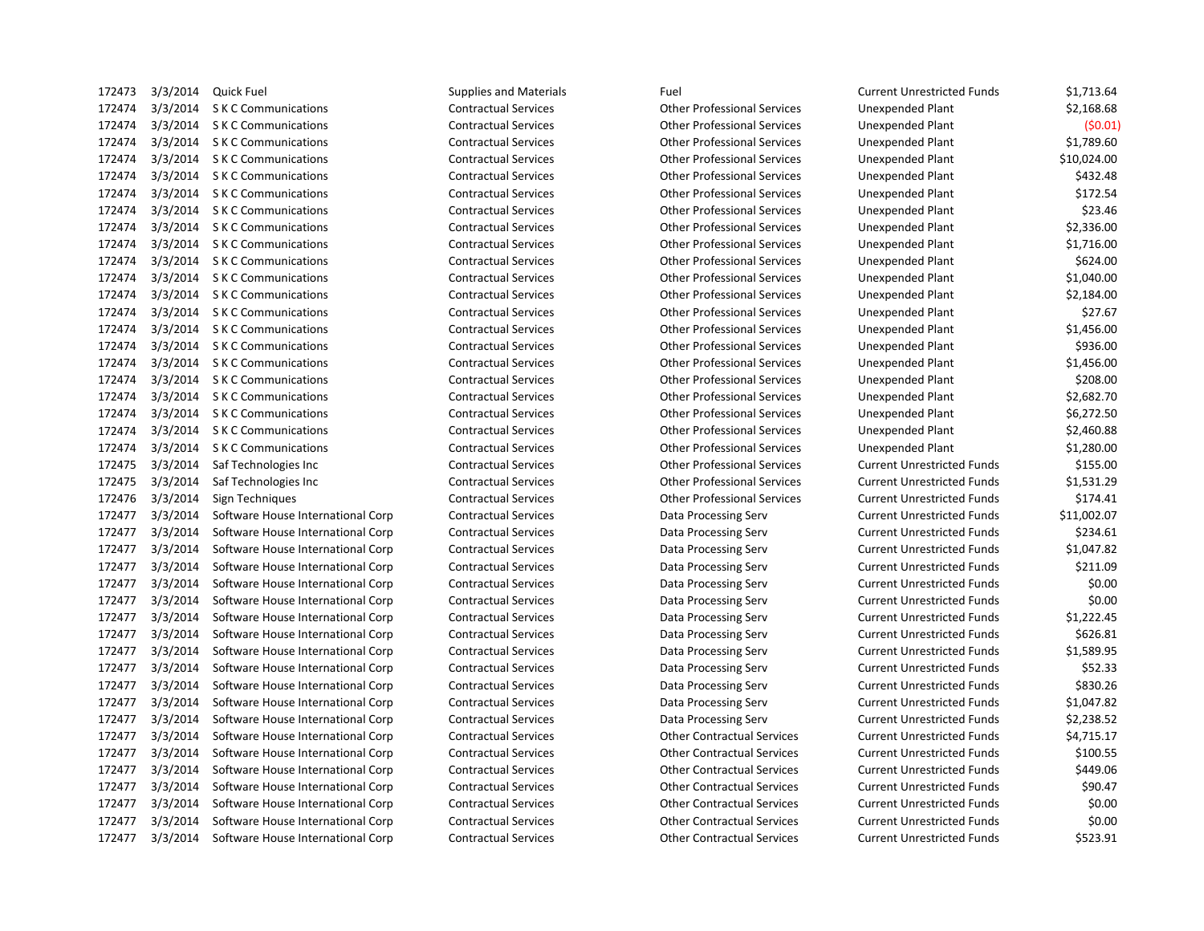| 172473 | 3/3/2014 | Quick Fuel                        | Supplies and Materials      | Fuel                               | <b>Current Unrestricted Funds</b> | \$1,713.64  |
|--------|----------|-----------------------------------|-----------------------------|------------------------------------|-----------------------------------|-------------|
| 172474 | 3/3/2014 | <b>S K C Communications</b>       | <b>Contractual Services</b> | <b>Other Professional Services</b> | Unexpended Plant                  | \$2,168.68  |
| 172474 | 3/3/2014 | <b>S K C Communications</b>       | <b>Contractual Services</b> | <b>Other Professional Services</b> | <b>Unexpended Plant</b>           | (50.01)     |
| 172474 |          | 3/3/2014 S K C Communications     | <b>Contractual Services</b> | <b>Other Professional Services</b> | Unexpended Plant                  | \$1,789.60  |
| 172474 | 3/3/2014 | S K C Communications              | <b>Contractual Services</b> | <b>Other Professional Services</b> | Unexpended Plant                  | \$10,024.00 |
| 172474 |          | 3/3/2014 S K C Communications     | <b>Contractual Services</b> | <b>Other Professional Services</b> | Unexpended Plant                  | \$432.48    |
| 172474 |          | 3/3/2014 S K C Communications     | <b>Contractual Services</b> | <b>Other Professional Services</b> | Unexpended Plant                  | \$172.54    |
| 172474 | 3/3/2014 | <b>SKC Communications</b>         | <b>Contractual Services</b> | <b>Other Professional Services</b> | Unexpended Plant                  | \$23.46     |
| 172474 | 3/3/2014 | S K C Communications              | <b>Contractual Services</b> | <b>Other Professional Services</b> | Unexpended Plant                  | \$2,336.00  |
| 172474 |          | 3/3/2014 S K C Communications     | <b>Contractual Services</b> | <b>Other Professional Services</b> | Unexpended Plant                  | \$1,716.00  |
| 172474 |          | 3/3/2014 S K C Communications     | <b>Contractual Services</b> | <b>Other Professional Services</b> | Unexpended Plant                  | \$624.00    |
| 172474 | 3/3/2014 | S K C Communications              | <b>Contractual Services</b> | <b>Other Professional Services</b> | Unexpended Plant                  | \$1,040.00  |
| 172474 |          | 3/3/2014 S K C Communications     | <b>Contractual Services</b> | <b>Other Professional Services</b> | Unexpended Plant                  | \$2,184.00  |
| 172474 |          | 3/3/2014 S K C Communications     | <b>Contractual Services</b> | <b>Other Professional Services</b> | Unexpended Plant                  | \$27.67     |
| 172474 | 3/3/2014 | S K C Communications              | <b>Contractual Services</b> | <b>Other Professional Services</b> | Unexpended Plant                  | \$1,456.00  |
| 172474 |          | 3/3/2014 S K C Communications     | <b>Contractual Services</b> | <b>Other Professional Services</b> | Unexpended Plant                  | \$936.00    |
| 172474 |          | 3/3/2014 S K C Communications     | <b>Contractual Services</b> | <b>Other Professional Services</b> | Unexpended Plant                  | \$1,456.00  |
| 172474 | 3/3/2014 | <b>SKC Communications</b>         | <b>Contractual Services</b> | <b>Other Professional Services</b> | Unexpended Plant                  | \$208.00    |
| 172474 | 3/3/2014 | <b>SKC Communications</b>         | <b>Contractual Services</b> | <b>Other Professional Services</b> | Unexpended Plant                  | \$2,682.70  |
| 172474 | 3/3/2014 | <b>S K C Communications</b>       | <b>Contractual Services</b> | <b>Other Professional Services</b> | <b>Unexpended Plant</b>           | \$6,272.50  |
| 172474 | 3/3/2014 | S K C Communications              | <b>Contractual Services</b> | <b>Other Professional Services</b> | Unexpended Plant                  | \$2,460.88  |
| 172474 | 3/3/2014 | S K C Communications              | <b>Contractual Services</b> | <b>Other Professional Services</b> | Unexpended Plant                  | \$1,280.00  |
| 172475 | 3/3/2014 | Saf Technologies Inc              | <b>Contractual Services</b> | <b>Other Professional Services</b> | <b>Current Unrestricted Funds</b> | \$155.00    |
| 172475 | 3/3/2014 | Saf Technologies Inc              | <b>Contractual Services</b> | <b>Other Professional Services</b> | <b>Current Unrestricted Funds</b> | \$1,531.29  |
| 172476 | 3/3/2014 | Sign Techniques                   | <b>Contractual Services</b> | <b>Other Professional Services</b> | <b>Current Unrestricted Funds</b> | \$174.41    |
| 172477 | 3/3/2014 | Software House International Corp | <b>Contractual Services</b> | Data Processing Serv               | <b>Current Unrestricted Funds</b> | \$11,002.07 |
| 172477 | 3/3/2014 | Software House International Corp | <b>Contractual Services</b> | Data Processing Serv               | <b>Current Unrestricted Funds</b> | \$234.61    |
| 172477 | 3/3/2014 | Software House International Corp | <b>Contractual Services</b> | Data Processing Serv               | <b>Current Unrestricted Funds</b> | \$1,047.82  |
| 172477 | 3/3/2014 | Software House International Corp | <b>Contractual Services</b> | Data Processing Serv               | <b>Current Unrestricted Funds</b> | \$211.09    |
| 172477 | 3/3/2014 | Software House International Corp | <b>Contractual Services</b> | Data Processing Serv               | <b>Current Unrestricted Funds</b> | \$0.00      |
| 172477 | 3/3/2014 | Software House International Corp | <b>Contractual Services</b> | Data Processing Serv               | <b>Current Unrestricted Funds</b> | \$0.00      |
| 172477 | 3/3/2014 | Software House International Corp | <b>Contractual Services</b> | Data Processing Serv               | <b>Current Unrestricted Funds</b> | \$1,222.45  |
| 172477 | 3/3/2014 | Software House International Corp | <b>Contractual Services</b> | Data Processing Serv               | <b>Current Unrestricted Funds</b> | \$626.81    |
| 172477 | 3/3/2014 | Software House International Corp | <b>Contractual Services</b> | Data Processing Serv               | <b>Current Unrestricted Funds</b> | \$1,589.95  |
| 172477 | 3/3/2014 | Software House International Corp | <b>Contractual Services</b> | Data Processing Serv               | <b>Current Unrestricted Funds</b> | \$52.33     |
| 172477 | 3/3/2014 | Software House International Corp | <b>Contractual Services</b> | Data Processing Serv               | <b>Current Unrestricted Funds</b> | \$830.26    |
| 172477 | 3/3/2014 | Software House International Corp | <b>Contractual Services</b> | Data Processing Serv               | <b>Current Unrestricted Funds</b> | \$1,047.82  |
| 172477 | 3/3/2014 | Software House International Corp | <b>Contractual Services</b> | Data Processing Serv               | <b>Current Unrestricted Funds</b> | \$2,238.52  |
| 172477 | 3/3/2014 | Software House International Corp | <b>Contractual Services</b> | <b>Other Contractual Services</b>  | <b>Current Unrestricted Funds</b> | \$4,715.17  |
| 172477 | 3/3/2014 | Software House International Corp | <b>Contractual Services</b> | <b>Other Contractual Services</b>  | <b>Current Unrestricted Funds</b> | \$100.55    |
| 172477 | 3/3/2014 | Software House International Corp | <b>Contractual Services</b> | <b>Other Contractual Services</b>  | <b>Current Unrestricted Funds</b> | \$449.06    |
| 172477 | 3/3/2014 | Software House International Corp | <b>Contractual Services</b> | <b>Other Contractual Services</b>  | <b>Current Unrestricted Funds</b> | \$90.47     |
| 172477 | 3/3/2014 | Software House International Corp | <b>Contractual Services</b> | <b>Other Contractual Services</b>  | <b>Current Unrestricted Funds</b> | \$0.00      |
| 172477 | 3/3/2014 | Software House International Corp | <b>Contractual Services</b> | <b>Other Contractual Services</b>  | <b>Current Unrestricted Funds</b> | \$0.00      |
| 172477 | 3/3/2014 | Software House International Corp | <b>Contractual Services</b> | <b>Other Contractual Services</b>  | <b>Current Unrestricted Funds</b> | \$523.91    |

|    | <b>Supplies and Materials</b> | Fuel                               | <b>Current Unrestricted Funds</b> | \$1,713.64  |
|----|-------------------------------|------------------------------------|-----------------------------------|-------------|
|    | <b>Contractual Services</b>   | <b>Other Professional Services</b> | Unexpended Plant                  | \$2,168.68  |
|    | <b>Contractual Services</b>   | <b>Other Professional Services</b> | Unexpended Plant                  | (50.01)     |
|    | <b>Contractual Services</b>   | <b>Other Professional Services</b> | Unexpended Plant                  | \$1,789.60  |
|    | <b>Contractual Services</b>   | <b>Other Professional Services</b> | Unexpended Plant                  | \$10,024.00 |
|    | <b>Contractual Services</b>   | <b>Other Professional Services</b> | Unexpended Plant                  | \$432.48    |
|    | <b>Contractual Services</b>   | <b>Other Professional Services</b> | Unexpended Plant                  | \$172.54    |
|    | <b>Contractual Services</b>   | <b>Other Professional Services</b> | Unexpended Plant                  | \$23.46     |
|    | <b>Contractual Services</b>   | <b>Other Professional Services</b> | Unexpended Plant                  | \$2,336.00  |
|    | <b>Contractual Services</b>   | <b>Other Professional Services</b> | Unexpended Plant                  | \$1,716.00  |
|    | <b>Contractual Services</b>   | <b>Other Professional Services</b> | <b>Unexpended Plant</b>           | \$624.00    |
|    | <b>Contractual Services</b>   | <b>Other Professional Services</b> | Unexpended Plant                  | \$1,040.00  |
|    | <b>Contractual Services</b>   | <b>Other Professional Services</b> | Unexpended Plant                  | \$2,184.00  |
|    | <b>Contractual Services</b>   | <b>Other Professional Services</b> | <b>Unexpended Plant</b>           | \$27.67     |
|    | <b>Contractual Services</b>   | <b>Other Professional Services</b> | <b>Unexpended Plant</b>           | \$1,456.00  |
|    | <b>Contractual Services</b>   | <b>Other Professional Services</b> | Unexpended Plant                  | \$936.00    |
|    | <b>Contractual Services</b>   | <b>Other Professional Services</b> | Unexpended Plant                  | \$1,456.00  |
|    | <b>Contractual Services</b>   | <b>Other Professional Services</b> | Unexpended Plant                  | \$208.00    |
|    | <b>Contractual Services</b>   | <b>Other Professional Services</b> | Unexpended Plant                  | \$2,682.70  |
|    | <b>Contractual Services</b>   | <b>Other Professional Services</b> | Unexpended Plant                  | \$6,272.50  |
|    | <b>Contractual Services</b>   | <b>Other Professional Services</b> | Unexpended Plant                  | \$2,460.88  |
|    | <b>Contractual Services</b>   | <b>Other Professional Services</b> | Unexpended Plant                  | \$1,280.00  |
|    | <b>Contractual Services</b>   | <b>Other Professional Services</b> | <b>Current Unrestricted Funds</b> | \$155.00    |
|    | <b>Contractual Services</b>   | <b>Other Professional Services</b> | <b>Current Unrestricted Funds</b> | \$1,531.29  |
|    | <b>Contractual Services</b>   | <b>Other Professional Services</b> | <b>Current Unrestricted Funds</b> | \$174.41    |
| rp | <b>Contractual Services</b>   | Data Processing Serv               | <b>Current Unrestricted Funds</b> | \$11,002.07 |
| rp | <b>Contractual Services</b>   | Data Processing Serv               | <b>Current Unrestricted Funds</b> | \$234.61    |
| rp | <b>Contractual Services</b>   | Data Processing Serv               | <b>Current Unrestricted Funds</b> | \$1,047.82  |
| rp | <b>Contractual Services</b>   | Data Processing Serv               | <b>Current Unrestricted Funds</b> | \$211.09    |
| rp | <b>Contractual Services</b>   | Data Processing Serv               | <b>Current Unrestricted Funds</b> | \$0.00      |
| rp | <b>Contractual Services</b>   | Data Processing Serv               | <b>Current Unrestricted Funds</b> | \$0.00      |
| rp | <b>Contractual Services</b>   | Data Processing Serv               | <b>Current Unrestricted Funds</b> | \$1,222.45  |
| rp | <b>Contractual Services</b>   | Data Processing Serv               | <b>Current Unrestricted Funds</b> | \$626.81    |
| rp | <b>Contractual Services</b>   | Data Processing Serv               | <b>Current Unrestricted Funds</b> | \$1,589.95  |
| rp | <b>Contractual Services</b>   | Data Processing Serv               | <b>Current Unrestricted Funds</b> | \$52.33     |
| rp | <b>Contractual Services</b>   | Data Processing Serv               | <b>Current Unrestricted Funds</b> | \$830.26    |
| rp | <b>Contractual Services</b>   | Data Processing Serv               | <b>Current Unrestricted Funds</b> | \$1,047.82  |
| rp | <b>Contractual Services</b>   | Data Processing Serv               | <b>Current Unrestricted Funds</b> | \$2,238.52  |
| rp | <b>Contractual Services</b>   | <b>Other Contractual Services</b>  | <b>Current Unrestricted Funds</b> | \$4,715.17  |
| rp | <b>Contractual Services</b>   | <b>Other Contractual Services</b>  | <b>Current Unrestricted Funds</b> | \$100.55    |
| rp | <b>Contractual Services</b>   | <b>Other Contractual Services</b>  | <b>Current Unrestricted Funds</b> | \$449.06    |
| rp | <b>Contractual Services</b>   | <b>Other Contractual Services</b>  | <b>Current Unrestricted Funds</b> | \$90.47     |
| rp | <b>Contractual Services</b>   | <b>Other Contractual Services</b>  | <b>Current Unrestricted Funds</b> | \$0.00      |
| rp | <b>Contractual Services</b>   | <b>Other Contractual Services</b>  | <b>Current Unrestricted Funds</b> | \$0.00      |
| rp | <b>Contractual Services</b>   | <b>Other Contractual Services</b>  | <b>Current Unrestricted Funds</b> | \$523.91    |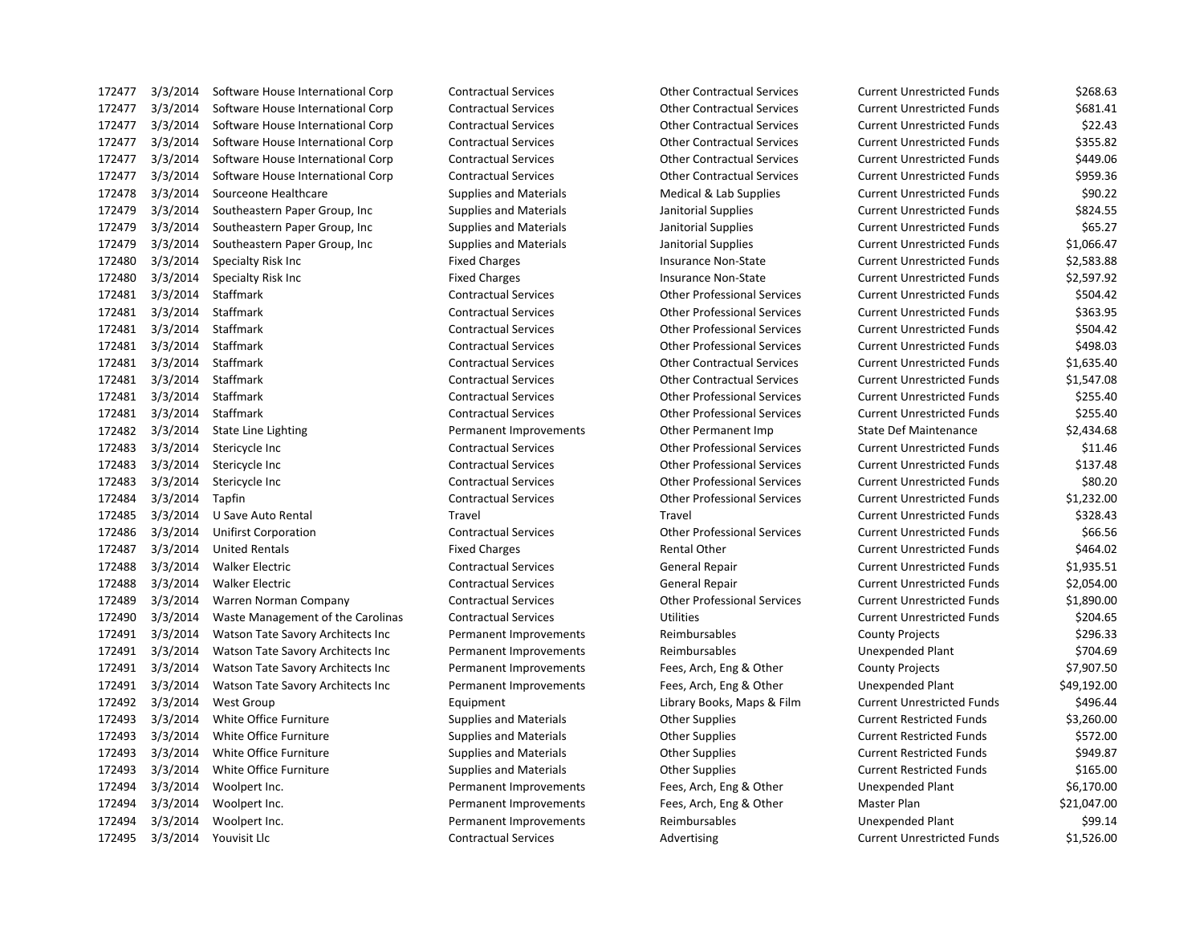3/3/2014 Software House International Corp Contractual Services Other Contractual Services Current Unrestricted Funds \$268.63 3/3/2014 Software House International Corp Contractual Services Other Contractual Services Current Unrestricted Funds \$681.41 3/3/2014 Software House International Corp Contractual Services Other Contractual Services Current Unrestricted Funds \$22.43 3/3/2014 Software House International Corp Contractual Services Other Contractual Services Current Unrestricted Funds \$355.82 3/3/2014 Software House International Corp Contractual Services Other Contractual Services Current Unrestricted Funds \$449.06 3/3/2014 Software House International Corp Contractual Services Other Contractual Services Current Unrestricted Funds \$959.36 3/3/2014 Sourceone Healthcare Supplies and Materials Medical & Lab Supplies Current Unrestricted Funds \$90.22 172479 3/3/2014 Southeastern Paper Group, Inc Supplies and Materials Janitorial Supplies Current Unrestricted Funds \$824.55 172479 3/3/2014 Southeastern Paper Group, Inc Supplies and Materials Janitorial Supplies Current Unrestricted Funds \$65.27 3/3/2014 Southeastern Paper Group, Inc Supplies and Materials Janitorial Supplies Current Unrestricted Funds \$1,066.47 3/3/2014 Specialty Risk Inc Fixed Charges Insurance Non-State Current Unrestricted Funds \$2,583.88 3/3/2014 Specialty Risk Inc Fixed Charges Insurance Non-State Current Unrestricted Funds \$2,597.92 3/3/2014 Staffmark Contractual Services Other Professional Services Current Unrestricted Funds \$504.42 3/3/2014 Staffmark Contractual Services Other Professional Services Current Unrestricted Funds \$363.95 3/3/2014 Staffmark Contractual Services Other Professional Services Current Unrestricted Funds \$504.42 3/3/2014 Staffmark Contractual Services Other Professional Services Current Unrestricted Funds \$498.03 3/3/2014 Staffmark Contractual Services Other Contractual Services Current Unrestricted Funds \$1,635.40 3/3/2014 Staffmark Contractual Services Other Contractual Services Current Unrestricted Funds \$1,547.08 3/3/2014 Staffmark Contractual Services Other Professional Services Current Unrestricted Funds \$255.40 3/3/2014 Staffmark Contractual Services Other Professional Services Current Unrestricted Funds \$255.40 3/3/2014 State Line Lighting Permanent Improvements Other Permanent Imp State Def Maintenance \$2,434.68 3/3/2014 Stericycle Inc Contractual Services Other Professional Services Current Unrestricted Funds \$11.46 3/3/2014 Stericycle Inc Contractual Services Other Professional Services Current Unrestricted Funds \$137.48 3/3/2014 Stericycle Inc Contractual Services Other Professional Services Current Unrestricted Funds \$80.20 3/3/2014 Tapfin Contractual Services Other Professional Services Current Unrestricted Funds \$1,232.00 3/3/2014 U Save Auto Rental Travel Travel Current Unrestricted Funds \$328.43 3/3/2014 Unifirst Corporation Contractual Services Other Professional Services Current Unrestricted Funds \$66.56 172487 3/3/2014 United Rentals **Fixed Charges** Fixed Charges Rental Other Current Unrestricted Funds \$464.02 3/3/2014 Walker Electric Contractual Services General Repair Current Unrestricted Funds \$1,935.51 3/3/2014 Walker Electric Contractual Services General Repair Current Unrestricted Funds \$2,054.00 3/3/2014 Warren Norman Company Contractual Services Other Professional Services Current Unrestricted Funds \$1,890.00 3/3/2014 Waste Management of the Carolinas Contractual Services Utilities Current Unrestricted Funds \$204.65 3/3/2014 Watson Tate Savory Architects Inc Permanent Improvements Reimbursables County Projects \$296.33 3/3/2014 Watson Tate Savory Architects Inc Permanent Improvements Reimbursables Unexpended Plant \$704.69 3/3/2014 Watson Tate Savory Architects Inc Permanent Improvements Fees, Arch, Eng & Other County Projects \$7,907.50 3/3/2014 Watson Tate Savory Architects Inc Permanent Improvements Fees, Arch, Eng & Other Unexpended Plant \$49,192.00 172492 3/3/2014 West Group Carries of Equipment Equipment Library Books, Maps & Film Current Unrestricted Funds \$496.44 3/3/2014 White Office Furniture Supplies and Materials Other Supplies Current Restricted Funds \$3,260.00 172493 3/3/2014 White Office Furniture Supplies and Materials Cother Supplies Current Restricted Funds \$572.00 172493 3/3/2014 White Office Furniture Supplies and Materials Cother Supplies Current Restricted Funds \$949.87 3/3/2014 White Office Furniture Supplies and Materials Other Supplies Current Restricted Funds \$165.00 3/3/2014 Woolpert Inc. Permanent Improvements Fees, Arch, Eng & Other Unexpended Plant \$6,170.00 3/3/2014 Woolpert Inc. Permanent Improvements Fees, Arch, Eng & Other Master Plan \$21,047.00 3/3/2014 Woolpert Inc. Permanent Improvements Reimbursables Unexpended Plant \$99.14 172495 3/3/2014 Youvisit Llc Contractual Services Advertising Current Unrestricted Funds \$1,526.00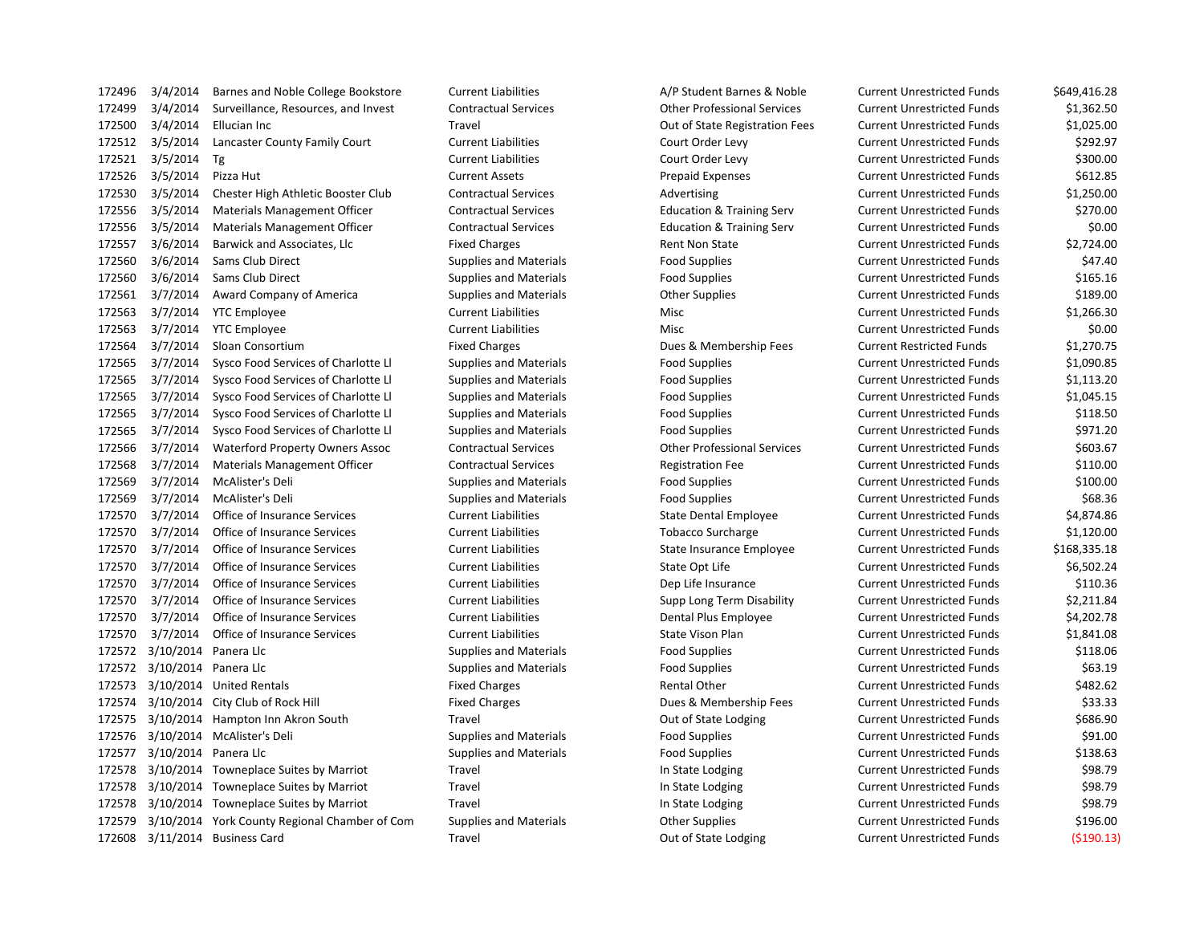| 172496 | 3/4/2014  | Barnes and Noble College Bookstore     |
|--------|-----------|----------------------------------------|
| 172499 | 3/4/2014  | Surveillance, Resources, and Invest    |
| 172500 | 3/4/2014  | Ellucian Inc                           |
| 172512 | 3/5/2014  | Lancaster County Family Court          |
| 172521 | 3/5/2014  | Тg                                     |
| 172526 | 3/5/2014  | Pizza Hut                              |
| 172530 | 3/5/2014  | Chester High Athletic Booster Club     |
| 172556 | 3/5/2014  | Materials Management Officer           |
| 172556 | 3/5/2014  | Materials Management Officer           |
| 172557 | 3/6/2014  | Barwick and Associates, Llc            |
| 172560 | 3/6/2014  | Sams Club Direct                       |
| 172560 | 3/6/2014  | <b>Sams Club Direct</b>                |
| 172561 | 3/7/2014  | Award Company of America               |
| 172563 | 3/7/2014  | <b>YTC Employee</b>                    |
| 172563 | 3/7/2014  | <b>YTC Employee</b>                    |
| 172564 | 3/7/2014  | Sloan Consortium                       |
| 172565 | 3/7/2014  | Sysco Food Services of Charlotte Ll    |
| 172565 | 3/7/2014  | Sysco Food Services of Charlotte Ll    |
| 172565 | 3/7/2014  | Sysco Food Services of Charlotte Ll    |
| 172565 | 3/7/2014  | Sysco Food Services of Charlotte Ll    |
| 172565 | 3/7/2014  | Sysco Food Services of Charlotte Ll    |
| 172566 | 3/7/2014  | <b>Waterford Property Owners Assoc</b> |
| 172568 | 3/7/2014  | Materials Management Officer           |
| 172569 | 3/7/2014  | McAlister's Deli                       |
| 172569 | 3/7/2014  | McAlister's Deli                       |
| 172570 | 3/7/2014  | <b>Office of Insurance Services</b>    |
| 172570 | 3/7/2014  | <b>Office of Insurance Services</b>    |
| 172570 | 3/7/2014  | Office of Insurance Services           |
| 172570 | 3/7/2014  | Office of Insurance Services           |
| 172570 | 3/7/2014  | Office of Insurance Services           |
| 172570 | 3/7/2014  | <b>Office of Insurance Services</b>    |
| 172570 | 3/7/2014  | <b>Office of Insurance Services</b>    |
| 172570 | 3/7/2014  | Office of Insurance Services           |
| 172572 | 3/10/2014 | Panera Llc                             |
| 172572 | 3/10/2014 | Panera Llc                             |
| 172573 | 3/10/2014 | <b>United Rentals</b>                  |
| 172574 | 3/10/2014 | City Club of Rock Hill                 |
| 172575 | 3/10/2014 | Hampton Inn Akron South                |
| 172576 | 3/10/2014 | McAlister's Deli                       |
| 172577 | 3/10/2014 | Panera Llc                             |
| 172578 | 3/10/2014 | Towneplace Suites by Marriot           |
| 172578 | 3/10/2014 | Towneplace Suites by Marriot           |
| 172578 | 3/10/2014 | Towneplace Suites by Marriot           |
| 172579 | 3/10/2014 | York County Regional Chamber of Con    |
| 172608 | 3/11/2014 | Rusiness Card                          |

Current Liabilities **A/P Student Barnes & Noble** Current Unrestricted Funds \$649,416.28 3/4/2014 Surveillance, Resources, and Invest Contractual Services Other Professional Services Current Unrestricted Funds \$1,362.50 172500 172500 31,025.00 31,025.00 Dut of State Registration Fees Current Unrestricted Funds 3/5/2014 Lancaster County Family Court Current Liabilities Court Order Levy Current Unrestricted Funds \$292.97 3/5/2014 Tg Current Liabilities Court Order Levy Current Unrestricted Funds \$300.00 3/5/2014 Pizza Hut Current Assets Prepaid Expenses Current Unrestricted Funds \$612.85 3/5/2014 Chester High Athletic Booster Club Contractual Services Advertising Current Unrestricted Funds \$1,250.00 3/5/2014 Materials Management Officer Contractual Services Education & Training Serv Current Unrestricted Funds \$270.00 3/5/2014 Materials Management Officer Contractual Services Education & Training Serv Current Unrestricted Funds \$0.00 Fixed Charges The S2.724.00 State Current Unrestricted Funds 52.724.00 3/6/2014 Sams Club Direct Supplies and Materials Food Supplies Current Unrestricted Funds \$47.40 3/6/2014 Sams Club Direct Supplies and Materials Food Supplies Current Unrestricted Funds \$165.16 3/7/2014 Award Company of America Supplies and Materials Other Supplies Current Unrestricted Funds \$189.00 3/7/2014 YTC Employee Current Liabilities Misc Current Unrestricted Funds \$1,266.30 3/7/2014 YTC Employee Current Liabilities Misc Current Unrestricted Funds \$0.00 Fixed Charges The Superstand Charges Current Restricted Funds 51,270.75 3/7/2014 Sysco Food Services of Charlotte Ll Supplies and Materials Food Supplies Current Unrestricted Funds \$1,090.85 Supplies and Materials **Supplies Current Unrestricted Funds** 51,113.20 3/7/2014 Sysco Food Services of Charlotte Ll Supplies and Materials Food Supplies Current Unrestricted Funds \$1,045.15 Supplies and Materials **Supplies 1745** Supplies **Current Unrestricted Funds** \$118.50 3/7/2014 Sysco Food Services of Charlotte Ll Supplies and Materials Food Supplies Current Unrestricted Funds \$971.20 3/7/2014 Waterford Property Owners Assoc Contractual Services Other Professional Services Current Unrestricted Funds \$603.67 3/7/2014 Materials Management Officer Contractual Services Registration Fee Current Unrestricted Funds \$110.00 3/7/2014 McAlister's Deli Supplies and Materials Food Supplies Current Unrestricted Funds \$100.00 3/7/2014 McAlister's Deli Supplies and Materials Food Supplies Current Unrestricted Funds \$68.36 3/7/2014 Office of Insurance Services Current Liabilities State Dental Employee Current Unrestricted Funds \$4,874.86 3/7/2014 Office of Insurance Services Current Liabilities Tobacco Surcharge Current Unrestricted Funds \$1,120.00 3/7/2014 Office of Insurance Services Current Liabilities State Insurance Employee Current Unrestricted Funds \$168,335.18 17.55702.24 Current Liabilities Current Unrestricted Funds State Opt Life Current Unrestricted Funds 3/7/2014 Office of Insurance Services Current Liabilities Dep Life Insurance Current Unrestricted Funds \$110.36 3/7/2014 Office of Insurance Services Current Liabilities Supp Long Term Disability Current Unrestricted Funds \$2,211.84 3/7/2014 Office of Insurance Services Current Liabilities Dental Plus Employee Current Unrestricted Funds \$4,202.78 3/7/2014 Office of Insurance Services Current Liabilities State Vison Plan Current Unrestricted Funds \$1,841.08 3/10/2014 Panera Llc Supplies and Materials Food Supplies Current Unrestricted Funds \$118.06 3/10/2014 Panera Llc Supplies and Materials Food Supplies Current Unrestricted Funds \$63.19 Fixed Charges The Transform of the Rental Other Current Unrestricted Funds 5482.62 1733.33 Fixed Charges The Superson of Rock Hill Fixed Charges Current Unrestricted Funds 1725 1725 1725 3/10/2014 1000 1001 Magnetic Durant Unrestricted Funds 5686.90 3/10/2014 McAlister's Deli Supplies and Materials Food Supplies Current Unrestricted Funds \$91.00 3/10/2014 Panera Llc Supplies and Materials Food Supplies Current Unrestricted Funds \$138.63 1725 1725 1725 3110 Travel Travel In State Lodging Current Unrestricted Funds 598.79 1725 1725 1725 3110 Travel Travel In State Lodging Current Unrestricted Funds \$98.79 1725 1725 1725 3110 Travel Travel In State Lodging Current Unrestricted Funds \$98.79 n 1725 Supplies and Materials Common Common Common Current Unrestricted Funds 5196.00 3/11/2014 Business Card Travel Out of State Lodging Current Unrestricted Funds (\$190.13)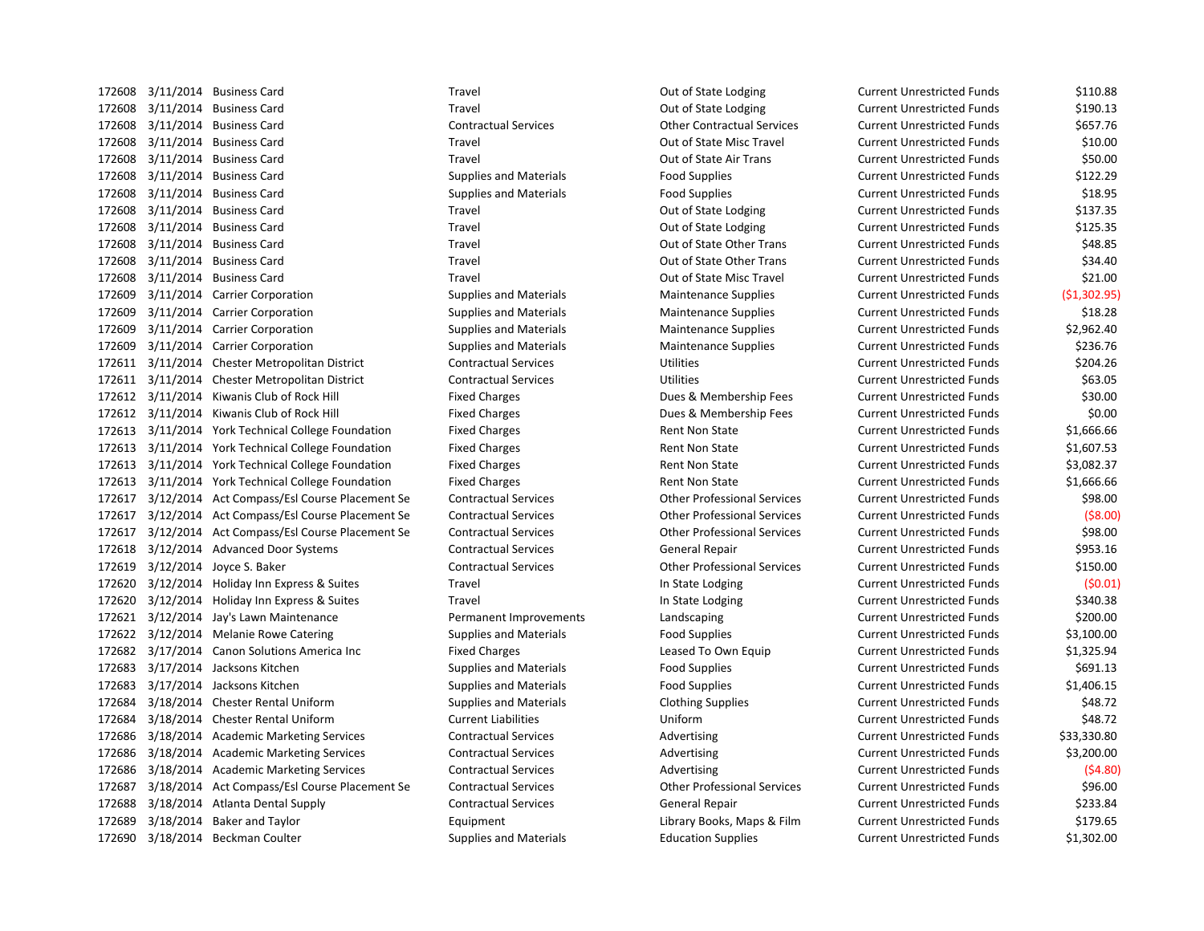172608 3/11/2014 Business Card Travel Travel Travel Current Unrestricted Funds \$110.88 172608 3/11/2014 Business Card Travel Travel Travel Current Unrestricted Funds S190.13 172608 3/11/2014 Business Card Contractual Services Other Contractual Services Current Unrestricted Funds \$657.76 172608 3/11/2014 Business Card Travel Travel Travel Current Unrestricted Funds S10.00 172608 3/11/2014 Business Card Travel Out of State Air Trans Current Unrestricted Funds \$50.00 172608 3/11/2014 Business Card Supplies and Materials Food Supplies Current Unrestricted Funds \$122.29 172608 3/11/2014 Business Card Supplies and Materials Food Supplies Current Unrestricted Funds \$18.95 172608 3/11/2014 Business Card Travel Travel Travel Current Unrestricted Funds \$137.35 172608 3/11/2014 Business Card Travel Travel Travel Current Unrestricted Funds \$125.35 172608 3/11/2014 Business Card Travel Out of State Other Trans Current Unrestricted Funds \$48.85 172608 3/11/2014 Business Card Travel Out of State Other Trans Current Unrestricted Funds \$34.40 172608 3/11/2014 Business Card Travel Travel Travel Current Unrestricted Funds S21.00 172609 3/11/2014 Carrier Corporation Supplies and Materials Maintenance Supplies Current Unrestricted Funds (\$1,302.95) 172609 3/11/2014 Carrier Corporation Supplies and Materials Maintenance Supplies Current Unrestricted Funds \$18.28 172609 3/11/2014 Carrier Corporation Supplies and Materials Maintenance Supplies Current Unrestricted Funds \$2,962.40 172609 3/11/2014 Carrier Corporation Supplies and Materials Maintenance Supplies Current Unrestricted Funds \$236.76 172611 3/11/2014 Chester Metropolitan District Contractual Services Utilities Current Unrestricted Funds \$204.26 172611 3/11/2014 Chester Metropolitan District Contractual Services Utilities Current Unrestricted Funds \$63.05 172612 3/11/2014 Kiwanis Club of Rock Hill Fixed Charges Fixed Charges Dues & Membership Fees Current Unrestricted Funds \$30.00 172612 3/11/2014 Kiwanis Club of Rock Hill Fixed Charges Fixed Charges Dues & Membership Fees Current Unrestricted Funds \$0.00 172613 3/11/2014 York Technical College Foundation Fixed Charges Rent Non State Current Unrestricted Funds \$1,666.66 172613 3/11/2014 York Technical College Foundation Fixed Charges Rent Non State Current Unrestricted Funds \$1,607.53 172613 3/11/2014 York Technical College Foundation Fixed Charges Rent Non State Current Unrestricted Funds \$3,082.37 172613 3/11/2014 York Technical College Foundation Fixed Charges Rent Non State Current Unrestricted Funds \$1,666.66 172617 3/12/2014 Act Compass/Esl Course Placement Se Contractual Services Other Professional Services Current Unrestricted Funds \$98.00 172617 3/12/2014 Act Compass/Esl Course Placement Se Contractual Services Other Professional Services Current Unrestricted Funds (\$8.00) 172617 3/12/2014 Act Compass/Esl Course Placement Se Contractual Services Other Professional Services Current Unrestricted Funds \$98.00 172618 3/12/2014 Advanced Door Systems Contractual Services General Repair Current Unrestricted Funds \$953.16 172619 3/12/2014 Joyce S. Baker Contractual Services Other Professional Services Current Unrestricted Funds \$150.00 172620 3/12/2014 Holiday Inn Express & Suites Travel In State Lodging Current Unrestricted Funds (\$0.01) 172620 3/12/2014 Holiday Inn Express & Suites Travel Travel In State Lodging Current Unrestricted Funds \$340.38 172621 3/12/2014 Jay's Lawn Maintenance Permanent Improvements Landscaping Current Unrestricted Funds \$200.00 172622 3/12/2014 Melanie Rowe Catering Supplies and Materials Food Supplies Food Supplies Current Unrestricted Funds \$3,100.00 172682 3/17/2014 Canon Solutions America Inc Fixed Charges Leased To Own Equip Current Unrestricted Funds \$1,325.94 172683 3/17/2014 Jacksons Kitchen Supplies and Materials Food Supplies Food Supplies Current Unrestricted Funds \$691.13 172683 3/17/2014 Jacksons Kitchen Supplies and Materials Food Supplies Current Unrestricted Funds \$1,406.15 172684 3/18/2014 Chester Rental Uniform Supplies and Materials Clothing Supplies Current Unrestricted Funds \$48.72 172684 3/18/2014 Chester Rental Uniform Current Liabilities Uniform Current Unrestricted Funds \$48.72 172686 3/18/2014 Academic Marketing Services Contractual Services Advertising Current Unrestricted Funds \$33,330.80 172686 3/18/2014 Academic Marketing Services Contractual Services Advertising Current Unrestricted Funds \$3,200.00 172686 3/18/2014 Academic Marketing Services Contractual Services Advertising Current Unrestricted Funds (\$4.80) 172687 3/18/2014 Act Compass/Esl Course Placement Se Contractual Services Other Professional Services Current Unrestricted Funds \$96.00 172688 3/18/2014 Atlanta Dental Supply Contractual Services General Repair Current Unrestricted Funds \$233.84 172689 3/18/2014 Baker and Taylor Current Library Books, Maps & Film Current Unrestricted Funds \$179.65 172690 3/18/2014 Beckman Coulter Supplies and Materials Education Supplies Current Unrestricted Funds \$1,302.00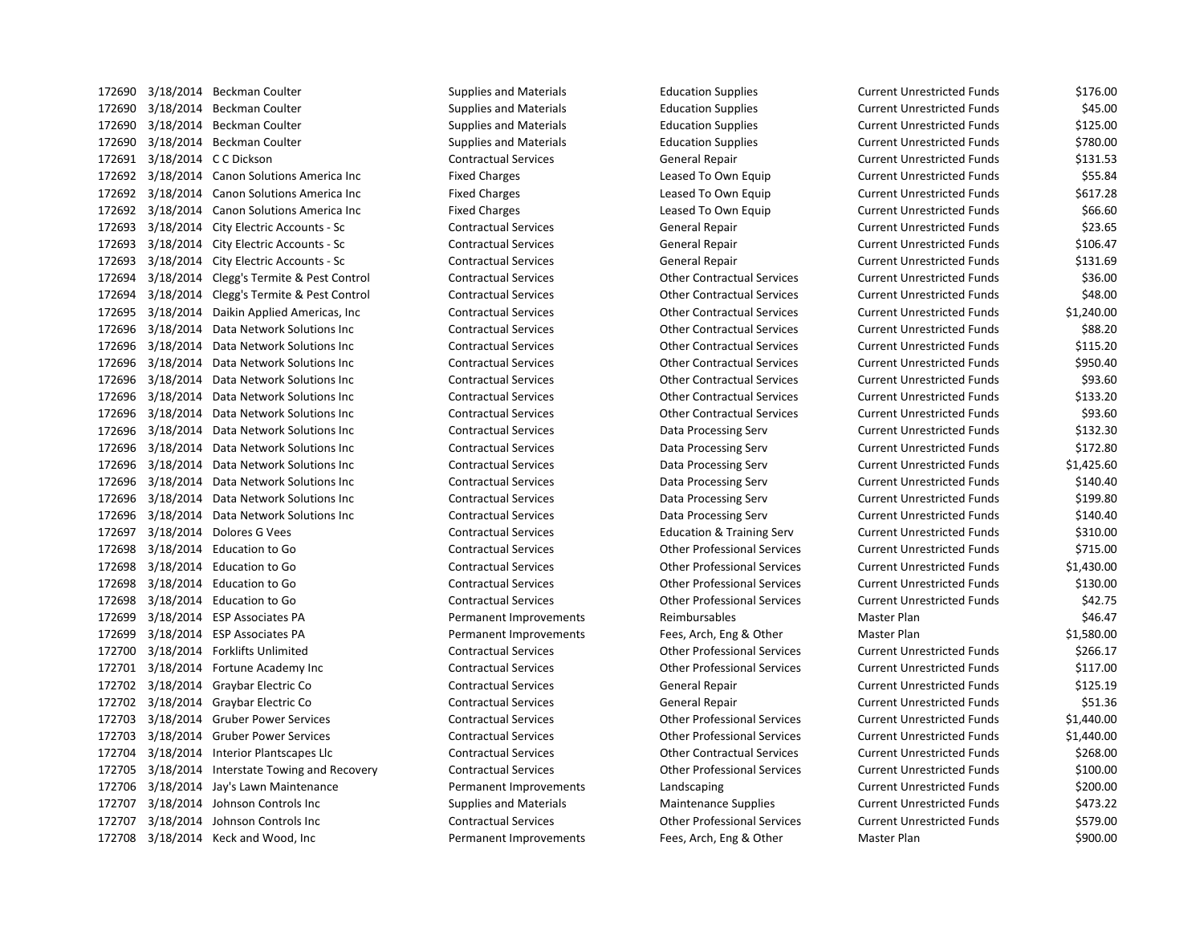| 172690 |           | 3/18/2014 Beckman Coulter                    | <b>Supplies and Materials</b> | <b>Education Supplies</b>            | Current Unrestricted Funds        | \$176.00   |
|--------|-----------|----------------------------------------------|-------------------------------|--------------------------------------|-----------------------------------|------------|
| 172690 |           | 3/18/2014 Beckman Coulter                    | <b>Supplies and Materials</b> | <b>Education Supplies</b>            | <b>Current Unrestricted Funds</b> | \$45.00    |
| 172690 |           | 3/18/2014 Beckman Coulter                    | <b>Supplies and Materials</b> | <b>Education Supplies</b>            | <b>Current Unrestricted Funds</b> | \$125.00   |
| 172690 |           | 3/18/2014 Beckman Coulter                    | <b>Supplies and Materials</b> | <b>Education Supplies</b>            | <b>Current Unrestricted Funds</b> | \$780.00   |
| 172691 |           | 3/18/2014 C C Dickson                        | <b>Contractual Services</b>   | General Repair                       | <b>Current Unrestricted Funds</b> | \$131.53   |
| 172692 |           | 3/18/2014 Canon Solutions America Inc        | <b>Fixed Charges</b>          | Leased To Own Equip                  | <b>Current Unrestricted Funds</b> | \$55.84    |
|        |           | 172692 3/18/2014 Canon Solutions America Inc | <b>Fixed Charges</b>          | Leased To Own Equip                  | <b>Current Unrestricted Funds</b> | \$617.28   |
| 172692 |           | 3/18/2014 Canon Solutions America Inc        | <b>Fixed Charges</b>          | Leased To Own Equip                  | <b>Current Unrestricted Funds</b> | \$66.60    |
| 172693 |           | 3/18/2014 City Electric Accounts - Sc        | <b>Contractual Services</b>   | General Repair                       | <b>Current Unrestricted Funds</b> | \$23.65    |
| 172693 |           | 3/18/2014 City Electric Accounts - Sc        | <b>Contractual Services</b>   | General Repair                       | <b>Current Unrestricted Funds</b> | \$106.47   |
| 172693 |           | 3/18/2014 City Electric Accounts - Sc        | <b>Contractual Services</b>   | <b>General Repair</b>                | <b>Current Unrestricted Funds</b> | \$131.69   |
| 172694 |           | 3/18/2014 Clegg's Termite & Pest Control     | <b>Contractual Services</b>   | <b>Other Contractual Services</b>    | <b>Current Unrestricted Funds</b> | \$36.00    |
| 172694 |           | 3/18/2014 Clegg's Termite & Pest Control     | <b>Contractual Services</b>   | <b>Other Contractual Services</b>    | <b>Current Unrestricted Funds</b> | \$48.00    |
| 172695 |           | 3/18/2014 Daikin Applied Americas, Inc       | <b>Contractual Services</b>   | <b>Other Contractual Services</b>    | <b>Current Unrestricted Funds</b> | \$1,240.00 |
| 172696 |           | 3/18/2014 Data Network Solutions Inc         | <b>Contractual Services</b>   | <b>Other Contractual Services</b>    | <b>Current Unrestricted Funds</b> | \$88.20    |
| 172696 |           | 3/18/2014 Data Network Solutions Inc         | <b>Contractual Services</b>   | <b>Other Contractual Services</b>    | <b>Current Unrestricted Funds</b> | \$115.20   |
| 172696 |           | 3/18/2014 Data Network Solutions Inc         | <b>Contractual Services</b>   | <b>Other Contractual Services</b>    | <b>Current Unrestricted Funds</b> | \$950.40   |
| 172696 |           | 3/18/2014 Data Network Solutions Inc         | <b>Contractual Services</b>   | <b>Other Contractual Services</b>    | <b>Current Unrestricted Funds</b> | \$93.60    |
| 172696 |           | 3/18/2014 Data Network Solutions Inc         | <b>Contractual Services</b>   | <b>Other Contractual Services</b>    | <b>Current Unrestricted Funds</b> | \$133.20   |
| 172696 |           | 3/18/2014 Data Network Solutions Inc         | <b>Contractual Services</b>   | <b>Other Contractual Services</b>    | <b>Current Unrestricted Funds</b> | \$93.60    |
| 172696 |           | 3/18/2014 Data Network Solutions Inc         | <b>Contractual Services</b>   | Data Processing Serv                 | <b>Current Unrestricted Funds</b> | \$132.30   |
| 172696 |           | 3/18/2014 Data Network Solutions Inc         | <b>Contractual Services</b>   | Data Processing Serv                 | <b>Current Unrestricted Funds</b> | \$172.80   |
| 172696 |           | 3/18/2014 Data Network Solutions Inc         | <b>Contractual Services</b>   | Data Processing Serv                 | <b>Current Unrestricted Funds</b> | \$1,425.60 |
| 172696 |           | 3/18/2014 Data Network Solutions Inc         | <b>Contractual Services</b>   | Data Processing Serv                 | <b>Current Unrestricted Funds</b> | \$140.40   |
| 172696 |           | 3/18/2014 Data Network Solutions Inc         | <b>Contractual Services</b>   | Data Processing Serv                 | <b>Current Unrestricted Funds</b> | \$199.80   |
|        |           | 172696 3/18/2014 Data Network Solutions Inc  | <b>Contractual Services</b>   | Data Processing Serv                 | <b>Current Unrestricted Funds</b> | \$140.40   |
| 172697 |           | 3/18/2014 Dolores G Vees                     | <b>Contractual Services</b>   | <b>Education &amp; Training Serv</b> | <b>Current Unrestricted Funds</b> | \$310.00   |
| 172698 |           | 3/18/2014 Education to Go                    | <b>Contractual Services</b>   | <b>Other Professional Services</b>   | <b>Current Unrestricted Funds</b> | \$715.00   |
| 172698 |           | 3/18/2014 Education to Go                    | <b>Contractual Services</b>   | <b>Other Professional Services</b>   | <b>Current Unrestricted Funds</b> | \$1,430.00 |
| 172698 |           | 3/18/2014 Education to Go                    | <b>Contractual Services</b>   | <b>Other Professional Services</b>   | <b>Current Unrestricted Funds</b> | \$130.00   |
| 172698 |           | 3/18/2014 Education to Go                    | <b>Contractual Services</b>   | <b>Other Professional Services</b>   | <b>Current Unrestricted Funds</b> | \$42.75    |
| 172699 |           | 3/18/2014 ESP Associates PA                  | Permanent Improvements        | Reimbursables                        | Master Plan                       | \$46.47    |
| 172699 |           | 3/18/2014 ESP Associates PA                  | Permanent Improvements        | Fees, Arch, Eng & Other              | Master Plan                       | \$1,580.00 |
| 172700 |           | 3/18/2014 Forklifts Unlimited                | <b>Contractual Services</b>   | <b>Other Professional Services</b>   | <b>Current Unrestricted Funds</b> | \$266.17   |
| 172701 |           | 3/18/2014 Fortune Academy Inc                | <b>Contractual Services</b>   | <b>Other Professional Services</b>   | <b>Current Unrestricted Funds</b> | \$117.00   |
| 172702 |           | 3/18/2014 Graybar Electric Co                | <b>Contractual Services</b>   | General Repair                       | <b>Current Unrestricted Funds</b> | \$125.19   |
| 172702 |           | 3/18/2014 Graybar Electric Co                | <b>Contractual Services</b>   | General Repair                       | <b>Current Unrestricted Funds</b> | \$51.36    |
| 172703 |           | 3/18/2014 Gruber Power Services              | <b>Contractual Services</b>   | <b>Other Professional Services</b>   | <b>Current Unrestricted Funds</b> | \$1,440.00 |
| 172703 |           | 3/18/2014 Gruber Power Services              | <b>Contractual Services</b>   | <b>Other Professional Services</b>   | <b>Current Unrestricted Funds</b> | \$1,440.00 |
| 172704 | 3/18/2014 | Interior Plantscapes Llc                     | <b>Contractual Services</b>   | <b>Other Contractual Services</b>    | <b>Current Unrestricted Funds</b> | \$268.00   |
| 172705 |           | 3/18/2014 Interstate Towing and Recovery     | <b>Contractual Services</b>   | <b>Other Professional Services</b>   | <b>Current Unrestricted Funds</b> | \$100.00   |
| 172706 |           | 3/18/2014 Jay's Lawn Maintenance             | Permanent Improvements        | Landscaping                          | <b>Current Unrestricted Funds</b> | \$200.00   |
| 172707 |           | 3/18/2014 Johnson Controls Inc               | <b>Supplies and Materials</b> | <b>Maintenance Supplies</b>          | <b>Current Unrestricted Funds</b> | \$473.22   |
|        |           | 172707 3/18/2014 Johnson Controls Inc        | <b>Contractual Services</b>   | <b>Other Professional Services</b>   | <b>Current Unrestricted Funds</b> | \$579.00   |
|        |           | 172708 3/18/2014 Keck and Wood, Inc          | Permanent Improvements        | Fees, Arch, Eng & Other              | Master Plan                       | \$900.00   |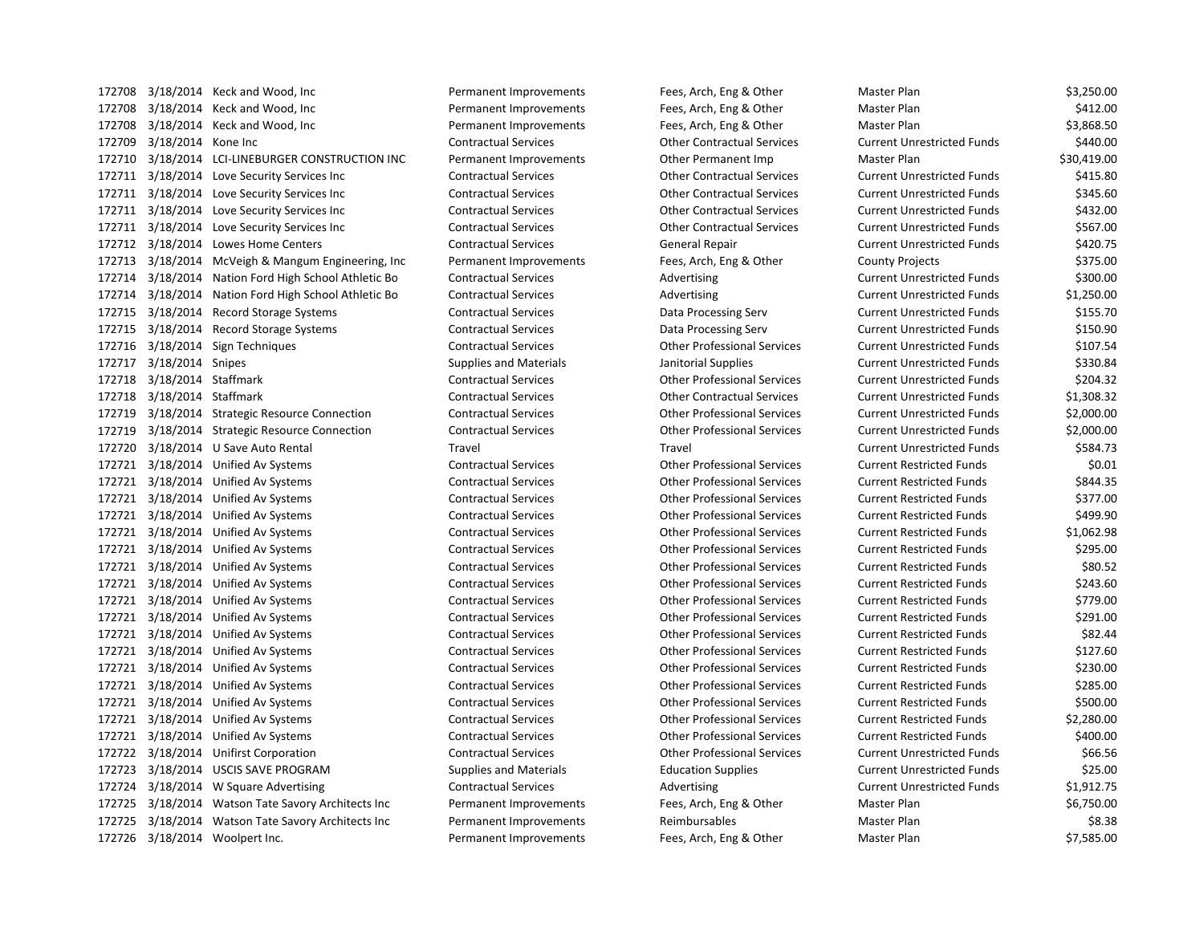| 172708 |                            | 3/18/2014 Keck and Wood, Inc                       | Permanent Improvements        | Fees, Arch, Eng & Other            | Master Plan                       | \$3,250.00  |
|--------|----------------------------|----------------------------------------------------|-------------------------------|------------------------------------|-----------------------------------|-------------|
| 172708 |                            | 3/18/2014 Keck and Wood, Inc                       | Permanent Improvements        | Fees, Arch, Eng & Other            | Master Plan                       | \$412.00    |
| 172708 |                            | 3/18/2014 Keck and Wood, Inc                       | Permanent Improvements        | Fees, Arch, Eng & Other            | Master Plan                       | \$3,868.50  |
|        | 172709 3/18/2014 Kone Inc  |                                                    | <b>Contractual Services</b>   | <b>Other Contractual Services</b>  | <b>Current Unrestricted Funds</b> | \$440.00    |
|        |                            | 172710 3/18/2014 LCI-LINEBURGER CONSTRUCTION INC   | Permanent Improvements        | Other Permanent Imp                | Master Plan                       | \$30,419.00 |
|        |                            | 172711 3/18/2014 Love Security Services Inc        | <b>Contractual Services</b>   | <b>Other Contractual Services</b>  | <b>Current Unrestricted Funds</b> | \$415.80    |
|        |                            | 172711 3/18/2014 Love Security Services Inc        | <b>Contractual Services</b>   | <b>Other Contractual Services</b>  | <b>Current Unrestricted Funds</b> | \$345.60    |
|        |                            | 172711 3/18/2014 Love Security Services Inc        | <b>Contractual Services</b>   | <b>Other Contractual Services</b>  | <b>Current Unrestricted Funds</b> | \$432.00    |
|        |                            | 172711 3/18/2014 Love Security Services Inc        | <b>Contractual Services</b>   | <b>Other Contractual Services</b>  | <b>Current Unrestricted Funds</b> | \$567.00    |
|        |                            | 172712 3/18/2014 Lowes Home Centers                | <b>Contractual Services</b>   | General Repair                     | <b>Current Unrestricted Funds</b> | \$420.75    |
|        |                            | 172713 3/18/2014 McVeigh & Mangum Engineering, Inc | Permanent Improvements        | Fees, Arch, Eng & Other            | <b>County Projects</b>            | \$375.00    |
| 172714 |                            | 3/18/2014 Nation Ford High School Athletic Bo      | <b>Contractual Services</b>   | Advertising                        | <b>Current Unrestricted Funds</b> | \$300.00    |
| 172714 |                            | 3/18/2014 Nation Ford High School Athletic Bo      | <b>Contractual Services</b>   | Advertising                        | <b>Current Unrestricted Funds</b> | \$1,250.00  |
|        |                            | 172715 3/18/2014 Record Storage Systems            | <b>Contractual Services</b>   | Data Processing Serv               | <b>Current Unrestricted Funds</b> | \$155.70    |
|        |                            | 172715 3/18/2014 Record Storage Systems            | <b>Contractual Services</b>   | Data Processing Serv               | <b>Current Unrestricted Funds</b> | \$150.90    |
|        |                            | 172716 3/18/2014 Sign Techniques                   | <b>Contractual Services</b>   | <b>Other Professional Services</b> | <b>Current Unrestricted Funds</b> | \$107.54    |
|        | 172717 3/18/2014 Snipes    |                                                    | <b>Supplies and Materials</b> | Janitorial Supplies                | <b>Current Unrestricted Funds</b> | \$330.84    |
|        | 172718 3/18/2014 Staffmark |                                                    | <b>Contractual Services</b>   | <b>Other Professional Services</b> | <b>Current Unrestricted Funds</b> | \$204.32    |
|        | 172718 3/18/2014 Staffmark |                                                    | <b>Contractual Services</b>   | <b>Other Contractual Services</b>  | <b>Current Unrestricted Funds</b> | \$1,308.32  |
|        |                            | 172719 3/18/2014 Strategic Resource Connection     | <b>Contractual Services</b>   | <b>Other Professional Services</b> | <b>Current Unrestricted Funds</b> | \$2,000.00  |
|        |                            | 172719 3/18/2014 Strategic Resource Connection     | <b>Contractual Services</b>   | <b>Other Professional Services</b> | <b>Current Unrestricted Funds</b> | \$2,000.00  |
| 172720 |                            | 3/18/2014 U Save Auto Rental                       | Travel                        | Travel                             | <b>Current Unrestricted Funds</b> | \$584.73    |
|        |                            | 172721 3/18/2014 Unified Av Systems                | <b>Contractual Services</b>   | <b>Other Professional Services</b> | <b>Current Restricted Funds</b>   | \$0.01      |
|        |                            | 172721 3/18/2014 Unified Av Systems                | <b>Contractual Services</b>   | <b>Other Professional Services</b> | <b>Current Restricted Funds</b>   | \$844.35    |
|        |                            | 172721 3/18/2014 Unified Av Systems                | <b>Contractual Services</b>   | <b>Other Professional Services</b> | <b>Current Restricted Funds</b>   | \$377.00    |
|        |                            | 172721 3/18/2014 Unified Av Systems                | <b>Contractual Services</b>   | <b>Other Professional Services</b> | <b>Current Restricted Funds</b>   | \$499.90    |
|        |                            | 172721 3/18/2014 Unified Av Systems                | <b>Contractual Services</b>   | <b>Other Professional Services</b> | <b>Current Restricted Funds</b>   | \$1,062.98  |
|        |                            | 172721 3/18/2014 Unified Av Systems                | <b>Contractual Services</b>   | <b>Other Professional Services</b> | <b>Current Restricted Funds</b>   | \$295.00    |
|        |                            | 172721 3/18/2014 Unified Av Systems                | <b>Contractual Services</b>   | <b>Other Professional Services</b> | <b>Current Restricted Funds</b>   | \$80.52     |
|        |                            | 172721 3/18/2014 Unified Av Systems                | <b>Contractual Services</b>   | <b>Other Professional Services</b> | <b>Current Restricted Funds</b>   | \$243.60    |
|        |                            | 172721 3/18/2014 Unified Av Systems                | <b>Contractual Services</b>   | <b>Other Professional Services</b> | <b>Current Restricted Funds</b>   | \$779.00    |
|        |                            | 172721 3/18/2014 Unified Av Systems                | <b>Contractual Services</b>   | <b>Other Professional Services</b> | <b>Current Restricted Funds</b>   | \$291.00    |
| 172721 |                            | 3/18/2014 Unified Av Systems                       | <b>Contractual Services</b>   | <b>Other Professional Services</b> | <b>Current Restricted Funds</b>   | \$82.44     |
| 172721 |                            | 3/18/2014 Unified Av Systems                       | <b>Contractual Services</b>   | <b>Other Professional Services</b> | <b>Current Restricted Funds</b>   | \$127.60    |
| 172721 |                            | 3/18/2014 Unified Av Systems                       | <b>Contractual Services</b>   | <b>Other Professional Services</b> | <b>Current Restricted Funds</b>   | \$230.00    |
| 172721 |                            | 3/18/2014 Unified Av Systems                       | <b>Contractual Services</b>   | <b>Other Professional Services</b> | <b>Current Restricted Funds</b>   | \$285.00    |
| 172721 |                            | 3/18/2014 Unified Av Systems                       | <b>Contractual Services</b>   | <b>Other Professional Services</b> | <b>Current Restricted Funds</b>   | \$500.00    |
|        |                            | 172721 3/18/2014 Unified Av Systems                | <b>Contractual Services</b>   | <b>Other Professional Services</b> | <b>Current Restricted Funds</b>   | \$2,280.00  |
| 172721 |                            | 3/18/2014 Unified Av Systems                       | <b>Contractual Services</b>   | <b>Other Professional Services</b> | <b>Current Restricted Funds</b>   | \$400.00    |
|        |                            | 172722 3/18/2014 Unifirst Corporation              | <b>Contractual Services</b>   | <b>Other Professional Services</b> | <b>Current Unrestricted Funds</b> | \$66.56     |
|        |                            | 172723 3/18/2014 USCIS SAVE PROGRAM                | <b>Supplies and Materials</b> | <b>Education Supplies</b>          | <b>Current Unrestricted Funds</b> | \$25.00     |
| 172724 |                            | 3/18/2014 W Square Advertising                     | <b>Contractual Services</b>   | Advertising                        | <b>Current Unrestricted Funds</b> | \$1,912.75  |
|        |                            | 172725 3/18/2014 Watson Tate Savory Architects Inc | Permanent Improvements        | Fees, Arch, Eng & Other            | Master Plan                       | \$6,750.00  |
|        |                            | 172725 3/18/2014 Watson Tate Savory Architects Inc | Permanent Improvements        | Reimbursables                      | Master Plan                       | \$8.38      |
|        |                            | 172726 3/18/2014 Woolpert Inc.                     | Permanent Improvements        | Fees, Arch, Eng & Other            | Master Plan                       | \$7,585.00  |

| laster Plan               | \$3,250.00  |
|---------------------------|-------------|
| laster Plan               | \$412.00    |
| laster Plan               | \$3,868.50  |
| urrent Unrestricted Funds | \$440.00    |
| laster Plan               | \$30,419.00 |
| urrent Unrestricted Funds | \$415.80    |
| urrent Unrestricted Funds | \$345.60    |
| urrent Unrestricted Funds | \$432.00    |
| urrent Unrestricted Funds | \$567.00    |
| urrent Unrestricted Funds | \$420.75    |
| ounty Projects            | \$375.00    |
| urrent Unrestricted Funds | \$300.00    |
| urrent Unrestricted Funds | \$1,250.00  |
| urrent Unrestricted Funds | \$155.70    |
| urrent Unrestricted Funds | \$150.90    |
| urrent Unrestricted Funds | \$107.54    |
| urrent Unrestricted Funds | \$330.84    |
| urrent Unrestricted Funds | \$204.32    |
| urrent Unrestricted Funds | \$1,308.32  |
| urrent Unrestricted Funds | \$2,000.00  |
| urrent Unrestricted Funds | \$2,000.00  |
| urrent Unrestricted Funds | \$584.73    |
| urrent Restricted Funds   | \$0.01      |
| urrent Restricted Funds   | \$844.35    |
| urrent Restricted Funds   | \$377.00    |
| urrent Restricted Funds   | \$499.90    |
| urrent Restricted Funds   | \$1,062.98  |
| urrent Restricted Funds   | \$295.00    |
| urrent Restricted Funds   | \$80.52     |
| urrent Restricted Funds   | \$243.60    |
| urrent Restricted Funds   | \$779.00    |
| urrent Restricted Funds   | \$291.00    |
| urrent Restricted Funds   | \$82.44     |
| urrent Restricted Funds   | \$127.60    |
| urrent Restricted Funds   | \$230.00    |
| urrent Restricted Funds   | \$285.00    |
| urrent Restricted Funds   | \$500.00    |
| urrent Restricted Funds   | \$2,280.00  |
| urrent Restricted Funds   | \$400.00    |
| urrent Unrestricted Funds | \$66.56     |
| urrent Unrestricted Funds | \$25.00     |
| urrent Unrestricted Funds | \$1,912.75  |
| laster Plan               | \$6,750.00  |
| laster Plan               | \$8.38      |
| laster Plan               | \$7 585.00  |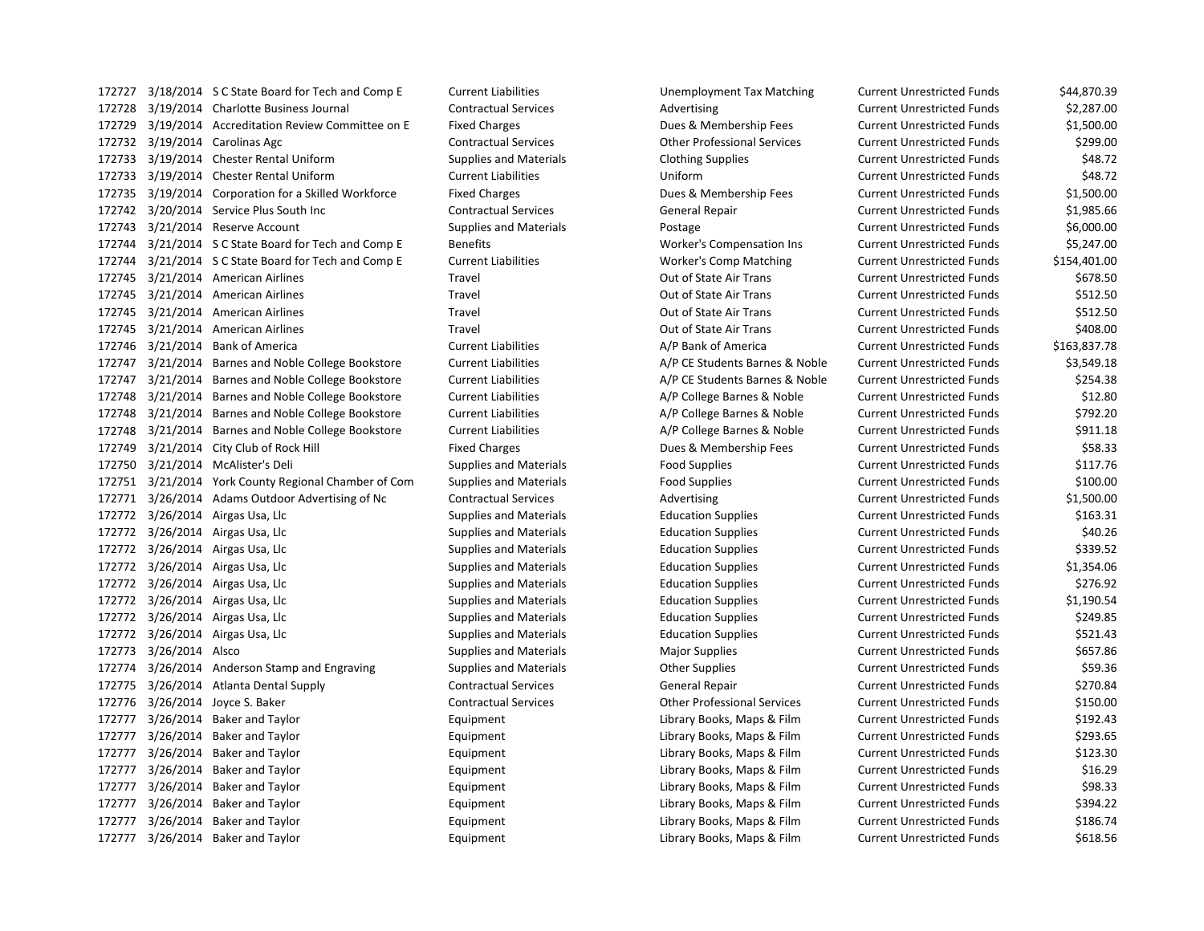| 172727 |                 | 3/18/2014 S C State Board for Tech and Comp E        | <b>Current Liabilities</b>    | Unemployment Tax Matching          | <b>Current Unrestricted Funds</b> | \$44,870.39  |
|--------|-----------------|------------------------------------------------------|-------------------------------|------------------------------------|-----------------------------------|--------------|
| 172728 |                 | 3/19/2014 Charlotte Business Journal                 | <b>Contractual Services</b>   | Advertising                        | <b>Current Unrestricted Funds</b> | \$2,287.00   |
| 172729 |                 | 3/19/2014 Accreditation Review Committee on E        | <b>Fixed Charges</b>          | Dues & Membership Fees             | <b>Current Unrestricted Funds</b> | \$1,500.00   |
|        |                 | 172732 3/19/2014 Carolinas Agc                       | <b>Contractual Services</b>   | <b>Other Professional Services</b> | <b>Current Unrestricted Funds</b> | \$299.00     |
| 172733 |                 | 3/19/2014 Chester Rental Uniform                     | <b>Supplies and Materials</b> | <b>Clothing Supplies</b>           | <b>Current Unrestricted Funds</b> | \$48.72      |
| 172733 |                 | 3/19/2014 Chester Rental Uniform                     | <b>Current Liabilities</b>    | Uniform                            | <b>Current Unrestricted Funds</b> | \$48.72      |
|        |                 | 172735 3/19/2014 Corporation for a Skilled Workforce | <b>Fixed Charges</b>          | Dues & Membership Fees             | <b>Current Unrestricted Funds</b> | \$1,500.00   |
| 172742 |                 | 3/20/2014 Service Plus South Inc                     | <b>Contractual Services</b>   | General Repair                     | <b>Current Unrestricted Funds</b> | \$1,985.66   |
| 172743 |                 | 3/21/2014 Reserve Account                            | <b>Supplies and Materials</b> | Postage                            | <b>Current Unrestricted Funds</b> | \$6,000.00   |
| 172744 |                 | 3/21/2014 S C State Board for Tech and Comp E        | <b>Benefits</b>               | Worker's Compensation Ins          | <b>Current Unrestricted Funds</b> | \$5,247.00   |
| 172744 |                 | 3/21/2014 S C State Board for Tech and Comp E        | <b>Current Liabilities</b>    | Worker's Comp Matching             | <b>Current Unrestricted Funds</b> | \$154,401.00 |
| 172745 |                 | 3/21/2014 American Airlines                          | Travel                        | Out of State Air Trans             | <b>Current Unrestricted Funds</b> | \$678.50     |
|        |                 | 172745 3/21/2014 American Airlines                   | Travel                        | Out of State Air Trans             | <b>Current Unrestricted Funds</b> | \$512.50     |
| 172745 |                 | 3/21/2014 American Airlines                          | Travel                        | Out of State Air Trans             | <b>Current Unrestricted Funds</b> | \$512.50     |
|        |                 | 172745 3/21/2014 American Airlines                   | Travel                        | Out of State Air Trans             | <b>Current Unrestricted Funds</b> | \$408.00     |
| 172746 |                 | 3/21/2014 Bank of America                            | <b>Current Liabilities</b>    | A/P Bank of America                | <b>Current Unrestricted Funds</b> | \$163,837.78 |
| 172747 |                 | 3/21/2014 Barnes and Noble College Bookstore         | <b>Current Liabilities</b>    | A/P CE Students Barnes & Noble     | <b>Current Unrestricted Funds</b> | \$3,549.18   |
| 172747 |                 | 3/21/2014 Barnes and Noble College Bookstore         | <b>Current Liabilities</b>    | A/P CE Students Barnes & Noble     | <b>Current Unrestricted Funds</b> | \$254.38     |
| 172748 |                 | 3/21/2014 Barnes and Noble College Bookstore         | <b>Current Liabilities</b>    | A/P College Barnes & Noble         | <b>Current Unrestricted Funds</b> | \$12.80      |
| 172748 |                 | 3/21/2014 Barnes and Noble College Bookstore         | <b>Current Liabilities</b>    | A/P College Barnes & Noble         | <b>Current Unrestricted Funds</b> | \$792.20     |
| 172748 |                 | 3/21/2014 Barnes and Noble College Bookstore         | <b>Current Liabilities</b>    | A/P College Barnes & Noble         | <b>Current Unrestricted Funds</b> | \$911.18     |
| 172749 |                 | 3/21/2014 City Club of Rock Hill                     | <b>Fixed Charges</b>          | Dues & Membership Fees             | <b>Current Unrestricted Funds</b> | \$58.33      |
| 172750 |                 | 3/21/2014 McAlister's Deli                           | <b>Supplies and Materials</b> | <b>Food Supplies</b>               | <b>Current Unrestricted Funds</b> | \$117.76     |
| 172751 |                 | 3/21/2014 York County Regional Chamber of Com        | <b>Supplies and Materials</b> | <b>Food Supplies</b>               | <b>Current Unrestricted Funds</b> | \$100.00     |
| 172771 |                 | 3/26/2014 Adams Outdoor Advertising of Nc            | <b>Contractual Services</b>   | Advertising                        | <b>Current Unrestricted Funds</b> | \$1,500.00   |
|        |                 | 172772 3/26/2014 Airgas Usa, Llc                     | <b>Supplies and Materials</b> | <b>Education Supplies</b>          | <b>Current Unrestricted Funds</b> | \$163.31     |
|        |                 | 172772 3/26/2014 Airgas Usa, Llc                     | <b>Supplies and Materials</b> | <b>Education Supplies</b>          | <b>Current Unrestricted Funds</b> | \$40.26      |
| 172772 |                 | 3/26/2014 Airgas Usa, Llc                            | <b>Supplies and Materials</b> | <b>Education Supplies</b>          | <b>Current Unrestricted Funds</b> | \$339.52     |
|        |                 | 172772 3/26/2014 Airgas Usa, Llc                     | <b>Supplies and Materials</b> | <b>Education Supplies</b>          | <b>Current Unrestricted Funds</b> | \$1,354.06   |
|        |                 | 172772 3/26/2014 Airgas Usa, Llc                     | <b>Supplies and Materials</b> | <b>Education Supplies</b>          | <b>Current Unrestricted Funds</b> | \$276.92     |
|        |                 | 172772 3/26/2014 Airgas Usa, Llc                     | <b>Supplies and Materials</b> | <b>Education Supplies</b>          | <b>Current Unrestricted Funds</b> | \$1,190.54   |
|        |                 | 172772 3/26/2014 Airgas Usa, Llc                     | <b>Supplies and Materials</b> | <b>Education Supplies</b>          | <b>Current Unrestricted Funds</b> | \$249.85     |
| 172772 |                 | 3/26/2014 Airgas Usa, Llc                            | <b>Supplies and Materials</b> | <b>Education Supplies</b>          | <b>Current Unrestricted Funds</b> | \$521.43     |
| 172773 | 3/26/2014 Alsco |                                                      | <b>Supplies and Materials</b> | <b>Major Supplies</b>              | <b>Current Unrestricted Funds</b> | \$657.86     |
| 172774 |                 | 3/26/2014 Anderson Stamp and Engraving               | <b>Supplies and Materials</b> | <b>Other Supplies</b>              | <b>Current Unrestricted Funds</b> | \$59.36      |
| 172775 |                 | 3/26/2014 Atlanta Dental Supply                      | <b>Contractual Services</b>   | <b>General Repair</b>              | <b>Current Unrestricted Funds</b> | \$270.84     |
| 172776 |                 | 3/26/2014 Joyce S. Baker                             | <b>Contractual Services</b>   | <b>Other Professional Services</b> | <b>Current Unrestricted Funds</b> | \$150.00     |
| 172777 |                 | 3/26/2014 Baker and Taylor                           | Equipment                     | Library Books, Maps & Film         | <b>Current Unrestricted Funds</b> | \$192.43     |
| 172777 |                 | 3/26/2014 Baker and Taylor                           | Equipment                     | Library Books, Maps & Film         | <b>Current Unrestricted Funds</b> | \$293.65     |
| 172777 | 3/26/2014       | Baker and Taylor                                     | Equipment                     | Library Books, Maps & Film         | <b>Current Unrestricted Funds</b> | \$123.30     |
| 172777 | 3/26/2014       | <b>Baker and Taylor</b>                              | Equipment                     | Library Books, Maps & Film         | <b>Current Unrestricted Funds</b> | \$16.29      |
| 172777 | 3/26/2014       | Baker and Taylor                                     | Equipment                     | Library Books, Maps & Film         | <b>Current Unrestricted Funds</b> | \$98.33      |
| 172777 |                 | 3/26/2014 Baker and Taylor                           | Equipment                     | Library Books, Maps & Film         | <b>Current Unrestricted Funds</b> | \$394.22     |
|        |                 | 172777 3/26/2014 Baker and Taylor                    | Equipment                     | Library Books, Maps & Film         | <b>Current Unrestricted Funds</b> | \$186.74     |
|        |                 | 172777 3/26/2014 Baker and Taylor                    | Equipment                     | Library Books, Maps & Film         | Current Unrestricted Funds        | \$618.56     |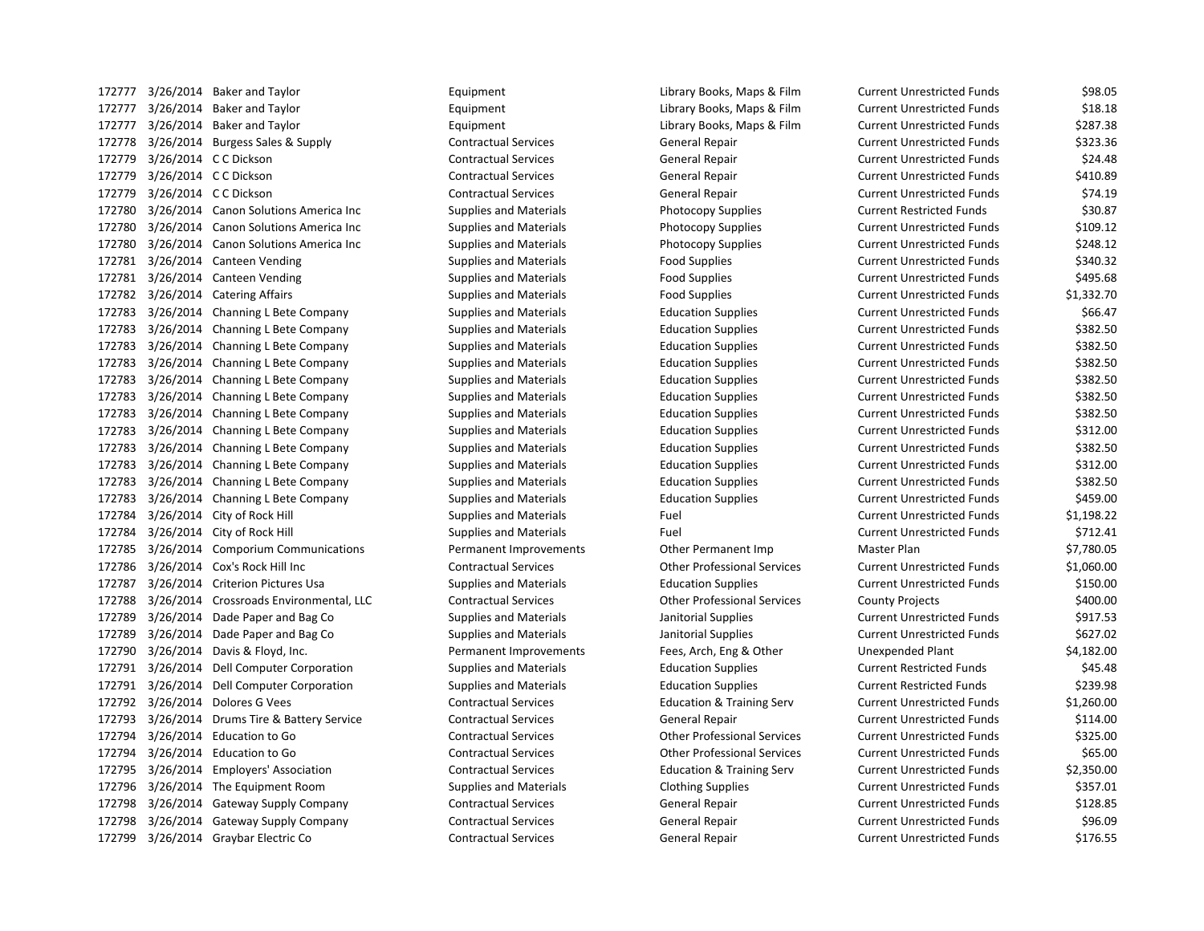| 172777 | 3/26/2014 Baker and Taylor              | Equipment                     | Library Books, Maps & Film           | <b>Current Unrestricted Funds</b> | \$98.05    |
|--------|-----------------------------------------|-------------------------------|--------------------------------------|-----------------------------------|------------|
| 172777 | 3/26/2014 Baker and Taylor              | Equipment                     | Library Books, Maps & Film           | <b>Current Unrestricted Funds</b> | \$18.18    |
| 172777 | 3/26/2014 Baker and Taylor              | Equipment                     | Library Books, Maps & Film           | <b>Current Unrestricted Funds</b> | \$287.38   |
| 172778 | 3/26/2014 Burgess Sales & Supply        | <b>Contractual Services</b>   | General Repair                       | <b>Current Unrestricted Funds</b> | \$323.36   |
| 172779 | 3/26/2014 C C Dickson                   | <b>Contractual Services</b>   | General Repair                       | <b>Current Unrestricted Funds</b> | \$24.48    |
| 172779 | 3/26/2014 C C Dickson                   | <b>Contractual Services</b>   | General Repair                       | <b>Current Unrestricted Funds</b> | \$410.89   |
| 172779 | 3/26/2014 C C Dickson                   | <b>Contractual Services</b>   | General Repair                       | <b>Current Unrestricted Funds</b> | \$74.19    |
| 172780 | 3/26/2014 Canon Solutions America Inc   | <b>Supplies and Materials</b> | <b>Photocopy Supplies</b>            | <b>Current Restricted Funds</b>   | \$30.87    |
| 172780 | 3/26/2014 Canon Solutions America Inc   | <b>Supplies and Materials</b> | <b>Photocopy Supplies</b>            | <b>Current Unrestricted Funds</b> | \$109.12   |
| 172780 | 3/26/2014 Canon Solutions America Inc   | <b>Supplies and Materials</b> | <b>Photocopy Supplies</b>            | <b>Current Unrestricted Funds</b> | \$248.12   |
| 172781 | 3/26/2014 Canteen Vending               | <b>Supplies and Materials</b> | <b>Food Supplies</b>                 | <b>Current Unrestricted Funds</b> | \$340.32   |
| 172781 | 3/26/2014 Canteen Vending               | <b>Supplies and Materials</b> | <b>Food Supplies</b>                 | <b>Current Unrestricted Funds</b> | \$495.68   |
| 172782 | 3/26/2014 Catering Affairs              | <b>Supplies and Materials</b> | <b>Food Supplies</b>                 | <b>Current Unrestricted Funds</b> | \$1,332.70 |
| 172783 | 3/26/2014 Channing L Bete Company       | <b>Supplies and Materials</b> | <b>Education Supplies</b>            | <b>Current Unrestricted Funds</b> | \$66.47    |
| 172783 | 3/26/2014 Channing L Bete Company       | <b>Supplies and Materials</b> | <b>Education Supplies</b>            | <b>Current Unrestricted Funds</b> | \$382.50   |
| 172783 | 3/26/2014 Channing L Bete Company       | <b>Supplies and Materials</b> | <b>Education Supplies</b>            | <b>Current Unrestricted Funds</b> | \$382.50   |
| 172783 | 3/26/2014 Channing L Bete Company       | <b>Supplies and Materials</b> | <b>Education Supplies</b>            | <b>Current Unrestricted Funds</b> | \$382.50   |
| 172783 | 3/26/2014 Channing L Bete Company       | <b>Supplies and Materials</b> | <b>Education Supplies</b>            | <b>Current Unrestricted Funds</b> | \$382.50   |
| 172783 | 3/26/2014 Channing L Bete Company       | <b>Supplies and Materials</b> | <b>Education Supplies</b>            | <b>Current Unrestricted Funds</b> | \$382.50   |
| 172783 | 3/26/2014 Channing L Bete Company       | <b>Supplies and Materials</b> | <b>Education Supplies</b>            | <b>Current Unrestricted Funds</b> | \$382.50   |
| 172783 | 3/26/2014 Channing L Bete Company       | <b>Supplies and Materials</b> | <b>Education Supplies</b>            | <b>Current Unrestricted Funds</b> | \$312.00   |
| 172783 | 3/26/2014 Channing L Bete Company       | <b>Supplies and Materials</b> | <b>Education Supplies</b>            | <b>Current Unrestricted Funds</b> | \$382.50   |
| 172783 | 3/26/2014 Channing L Bete Company       | <b>Supplies and Materials</b> | <b>Education Supplies</b>            | <b>Current Unrestricted Funds</b> | \$312.00   |
| 172783 | 3/26/2014 Channing L Bete Company       | <b>Supplies and Materials</b> | <b>Education Supplies</b>            | <b>Current Unrestricted Funds</b> | \$382.50   |
| 172783 | 3/26/2014 Channing L Bete Company       | <b>Supplies and Materials</b> | <b>Education Supplies</b>            | <b>Current Unrestricted Funds</b> | \$459.00   |
| 172784 | 3/26/2014 City of Rock Hill             | <b>Supplies and Materials</b> | Fuel                                 | <b>Current Unrestricted Funds</b> | \$1,198.22 |
| 172784 | 3/26/2014 City of Rock Hill             | <b>Supplies and Materials</b> | Fuel                                 | <b>Current Unrestricted Funds</b> | \$712.41   |
| 172785 | 3/26/2014 Comporium Communications      | Permanent Improvements        | Other Permanent Imp                  | Master Plan                       | \$7,780.05 |
| 172786 | 3/26/2014 Cox's Rock Hill Inc           | <b>Contractual Services</b>   | <b>Other Professional Services</b>   | <b>Current Unrestricted Funds</b> | \$1,060.00 |
| 172787 | 3/26/2014 Criterion Pictures Usa        | <b>Supplies and Materials</b> | <b>Education Supplies</b>            | <b>Current Unrestricted Funds</b> | \$150.00   |
| 172788 | 3/26/2014 Crossroads Environmental, LLC | <b>Contractual Services</b>   | <b>Other Professional Services</b>   | <b>County Projects</b>            | \$400.00   |
| 172789 | 3/26/2014 Dade Paper and Bag Co         | <b>Supplies and Materials</b> | Janitorial Supplies                  | <b>Current Unrestricted Funds</b> | \$917.53   |
| 172789 | 3/26/2014 Dade Paper and Bag Co         | Supplies and Materials        | Janitorial Supplies                  | <b>Current Unrestricted Funds</b> | \$627.02   |
| 172790 | 3/26/2014 Davis & Floyd, Inc.           | Permanent Improvements        | Fees, Arch, Eng & Other              | <b>Unexpended Plant</b>           | \$4,182.00 |
| 172791 | 3/26/2014 Dell Computer Corporation     | <b>Supplies and Materials</b> | <b>Education Supplies</b>            | <b>Current Restricted Funds</b>   | \$45.48    |
| 172791 | 3/26/2014 Dell Computer Corporation     | <b>Supplies and Materials</b> | <b>Education Supplies</b>            | <b>Current Restricted Funds</b>   | \$239.98   |
| 172792 | 3/26/2014 Dolores G Vees                | <b>Contractual Services</b>   | <b>Education &amp; Training Serv</b> | <b>Current Unrestricted Funds</b> | \$1,260.00 |
| 172793 | 3/26/2014 Drums Tire & Battery Service  | <b>Contractual Services</b>   | General Repair                       | <b>Current Unrestricted Funds</b> | \$114.00   |
| 172794 | 3/26/2014 Education to Go               | <b>Contractual Services</b>   | <b>Other Professional Services</b>   | <b>Current Unrestricted Funds</b> | \$325.00   |
| 172794 | 3/26/2014 Education to Go               | <b>Contractual Services</b>   | <b>Other Professional Services</b>   | <b>Current Unrestricted Funds</b> | \$65.00    |
| 172795 | 3/26/2014 Employers' Association        | <b>Contractual Services</b>   | <b>Education &amp; Training Serv</b> | <b>Current Unrestricted Funds</b> | \$2,350.00 |
| 172796 | 3/26/2014 The Equipment Room            | <b>Supplies and Materials</b> | <b>Clothing Supplies</b>             | <b>Current Unrestricted Funds</b> | \$357.01   |
| 172798 | 3/26/2014 Gateway Supply Company        | <b>Contractual Services</b>   | General Repair                       | <b>Current Unrestricted Funds</b> | \$128.85   |
| 172798 | 3/26/2014 Gateway Supply Company        | <b>Contractual Services</b>   | <b>General Repair</b>                | <b>Current Unrestricted Funds</b> | \$96.09    |
| 172799 | 3/26/2014 Graybar Electric Co           | <b>Contractual Services</b>   | General Repair                       | <b>Current Unrestricted Funds</b> | \$176.55   |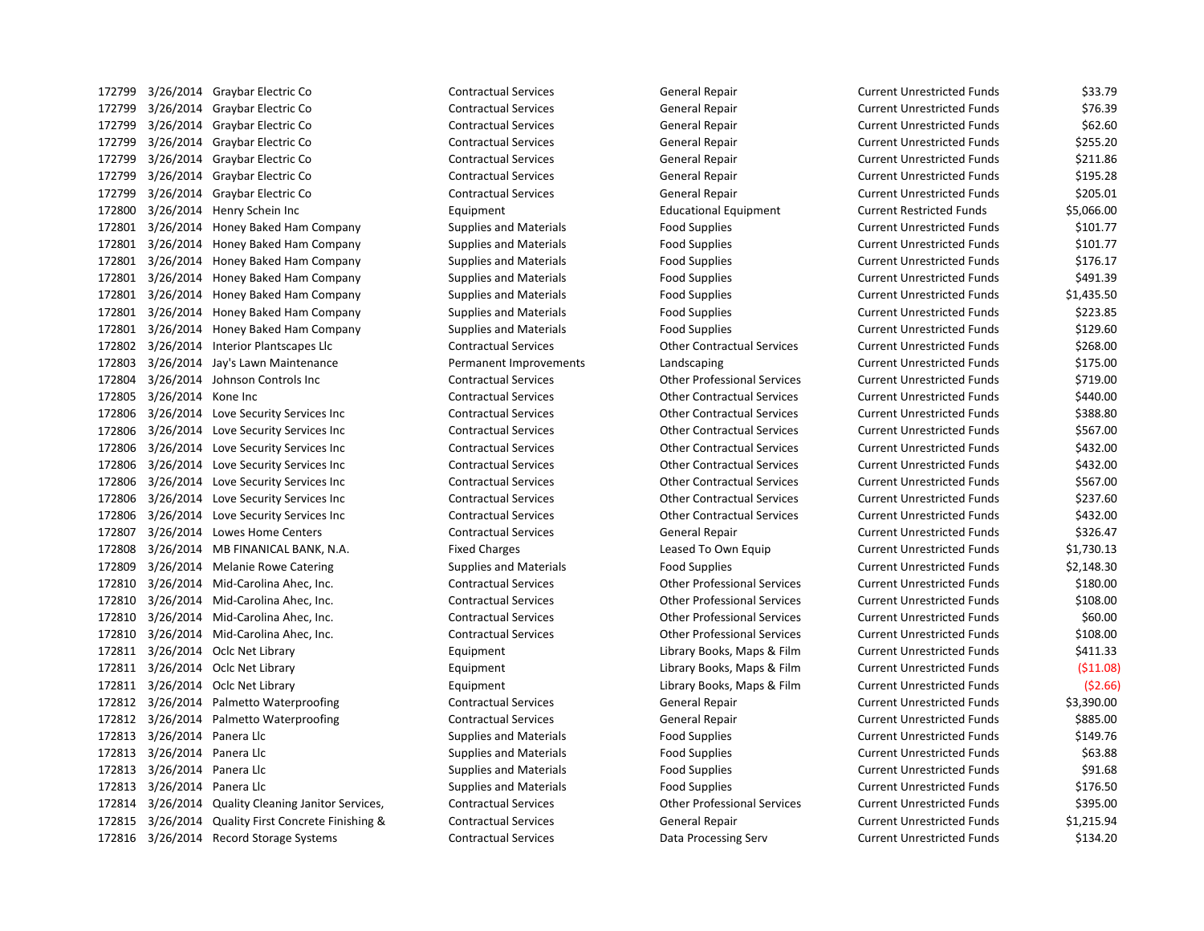3/26/2014 Graybar Electric Co Contractual Services General Repair Current Unrestricted Funds \$33.79 3/26/2014 Graybar Electric Co Contractual Services General Repair Current Unrestricted Funds \$76.39 3/26/2014 Graybar Electric Co Contractual Services General Repair Current Unrestricted Funds \$62.60 3/26/2014 Graybar Electric Co Contractual Services General Repair Current Unrestricted Funds \$255.20 172799 3/26/2014 Graybar Electric Co Contractual Services General Repair Current Unrestricted Funds \$211.86 3/26/2014 Graybar Electric Co Contractual Services General Repair Current Unrestricted Funds \$195.28 3/26/2014 Graybar Electric Co Contractual Services General Repair Current Unrestricted Funds \$205.01 3/26/2014 Henry Schein Inc Equipment Educational Equipment Current Restricted Funds \$5,066.00 3/26/2014 Honey Baked Ham Company Supplies and Materials Food Supplies Current Unrestricted Funds \$101.77 3/26/2014 Honey Baked Ham Company Supplies and Materials Food Supplies Current Unrestricted Funds \$101.77 3/26/2014 Honey Baked Ham Company Supplies and Materials Food Supplies Current Unrestricted Funds \$176.17 172801 3/26/2014 Honey Baked Ham Company Supplies and Materials Food Supplies Food Supplies Current Unrestricted Funds \$491.39 3/26/2014 Honey Baked Ham Company Supplies and Materials Food Supplies Current Unrestricted Funds \$1,435.50 3/26/2014 Honey Baked Ham Company Supplies and Materials Food Supplies Current Unrestricted Funds \$223.85 3/26/2014 Honey Baked Ham Company Supplies and Materials Food Supplies Current Unrestricted Funds \$129.60 3/26/2014 Interior Plantscapes Llc Contractual Services Other Contractual Services Current Unrestricted Funds \$268.00 3/26/2014 Jay's Lawn Maintenance Permanent Improvements Landscaping Current Unrestricted Funds \$175.00 3/26/2014 Johnson Controls Inc Contractual Services Other Professional Services Current Unrestricted Funds \$719.00 3/26/2014 Kone Inc Contractual Services Other Contractual Services Current Unrestricted Funds \$440.00 3/26/2014 Love Security Services Inc Contractual Services Other Contractual Services Current Unrestricted Funds \$388.80 3/26/2014 Love Security Services Inc Contractual Services Other Contractual Services Current Unrestricted Funds \$567.00 3/26/2014 Love Security Services Inc Contractual Services Other Contractual Services Current Unrestricted Funds \$432.00 3/26/2014 Love Security Services Inc Contractual Services Other Contractual Services Current Unrestricted Funds \$432.00 3/26/2014 Love Security Services Inc Contractual Services Other Contractual Services Current Unrestricted Funds \$567.00 3/26/2014 Love Security Services Inc Contractual Services Other Contractual Services Current Unrestricted Funds \$237.60 3/26/2014 Love Security Services Inc Contractual Services Other Contractual Services Current Unrestricted Funds \$432.00 3/26/2014 Lowes Home Centers Contractual Services General Repair Current Unrestricted Funds \$326.47 172808 3/26/2014 MB FINANICAL BANK, N.A. Fixed Charges Leased To Own Equip Current Unrestricted Funds \$1,730.13 172809 3/26/2014 Melanie Rowe Catering Supplies and Materials Food Supplies Food Supplies Current Unrestricted Funds \$2,148.30 3/26/2014 Mid-Carolina Ahec, Inc. Contractual Services Other Professional Services Current Unrestricted Funds \$180.00 3/26/2014 Mid-Carolina Ahec, Inc. Contractual Services Other Professional Services Current Unrestricted Funds \$108.00 3/26/2014 Mid-Carolina Ahec, Inc. Contractual Services Other Professional Services Current Unrestricted Funds \$60.00 3/26/2014 Mid-Carolina Ahec, Inc. Contractual Services Other Professional Services Current Unrestricted Funds \$108.00 172811 3/26/2014 Oclc Net Library **Library Equipment** Equipment Library Books, Maps & Film Current Unrestricted Funds \$411.33 3/26/2014 Oclc Net Library Equipment Library Books, Maps & Film Current Unrestricted Funds (\$11.08) 3/26/2014 Oclc Net Library Equipment Library Books, Maps & Film Current Unrestricted Funds (\$2.66) 3/26/2014 Palmetto Waterproofing Contractual Services General Repair Current Unrestricted Funds \$3,390.00 3/26/2014 Palmetto Waterproofing Contractual Services General Repair Current Unrestricted Funds \$885.00 172813 3/26/2014 Panera Llc Supplies and Materials Food Supplies Food Supplies Current Unrestricted Funds \$149.76 3/26/2014 Panera Llc Supplies and Materials Food Supplies Current Unrestricted Funds \$63.88 172813 3/26/2014 Panera Llc Supplies and Materials Food Supplies Food Supplies Current Unrestricted Funds \$91.68 172813 3/26/2014 Panera Llc Supplies and Materials Food Supplies Food Supplies Current Unrestricted Funds \$176.50 3/26/2014 Quality Cleaning Janitor Services, Contractual Services Other Professional Services Current Unrestricted Funds \$395.00 3/26/2014 Quality First Concrete Finishing & Contractual Services General Repair Current Unrestricted Funds \$1,215.94 3/26/2014 Record Storage Systems Contractual Services Data Processing Serv Current Unrestricted Funds \$134.20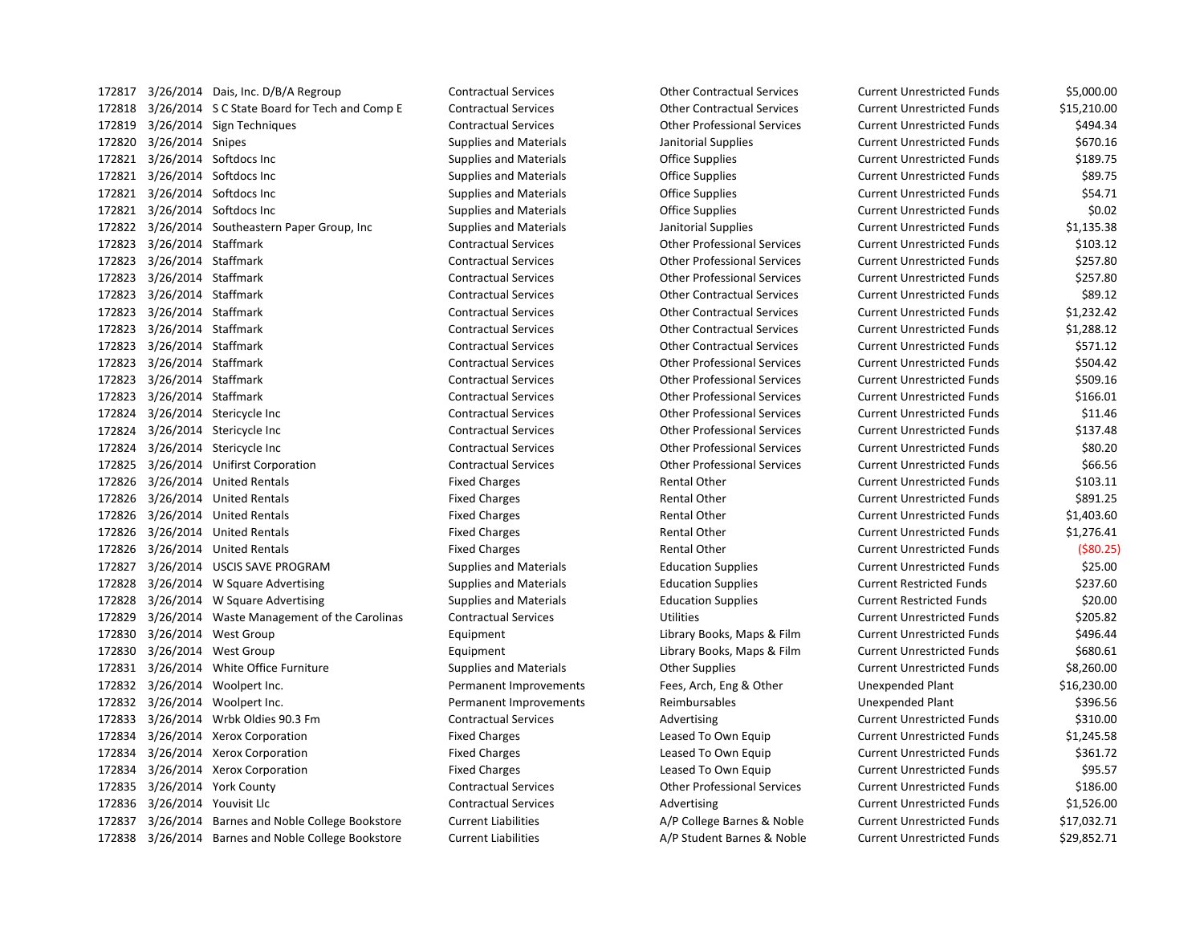| 1/281/ | 3/26/2014 | Dais, Inc. D/B/A Regroup            |
|--------|-----------|-------------------------------------|
| 172818 | 3/26/2014 | S C State Board for Tech and Comp E |
| 172819 | 3/26/2014 | Sign Techniques                     |
| 172820 | 3/26/2014 | Snipes                              |
| 172821 | 3/26/2014 | Softdocs Inc                        |
| 172821 | 3/26/2014 | Softdocs Inc                        |
| 172821 | 3/26/2014 | Softdocs Inc                        |
| 172821 | 3/26/2014 | Softdocs Inc                        |
| 172822 | 3/26/2014 | Southeastern Paper Group, Inc       |
| 172823 | 3/26/2014 | Staffmark                           |
| 172823 | 3/26/2014 | <b>Staffmark</b>                    |
| 172823 | 3/26/2014 | Staffmark                           |
| 172823 | 3/26/2014 | Staffmark                           |
| 172823 | 3/26/2014 | Staffmark                           |
| 172823 | 3/26/2014 | Staffmark                           |
| 172823 | 3/26/2014 | Staffmark                           |
| 172823 | 3/26/2014 | Staffmark                           |
| 172823 | 3/26/2014 | <b>Staffmark</b>                    |
| 172823 | 3/26/2014 | Staffmark                           |
| 172824 | 3/26/2014 | Stericycle Inc                      |
| 172824 | 3/26/2014 | Stericycle Inc                      |
| 172824 | 3/26/2014 | Stericycle Inc                      |
| 172825 | 3/26/2014 | <b>Unifirst Corporation</b>         |
| 172826 | 3/26/2014 | <b>United Rentals</b>               |
| 172826 | 3/26/2014 | <b>United Rentals</b>               |
| 172826 | 3/26/2014 | <b>United Rentals</b>               |
| 172826 | 3/26/2014 | <b>United Rentals</b>               |
| 172826 | 3/26/2014 | United Rentals                      |
| 172827 | 3/26/2014 | <b>USCIS SAVE PROGRAM</b>           |
| 172828 | 3/26/2014 | W Square Advertising                |
| 172828 | 3/26/2014 | W Square Advertising                |
| 172829 | 3/26/2014 | Waste Management of the Carolinas   |
| 172830 | 3/26/2014 | <b>West Group</b>                   |
| 172830 | 3/26/2014 | <b>West Group</b>                   |
| 172831 | 3/26/2014 | White Office Furniture              |
| 172832 | 3/26/2014 | Woolpert Inc.                       |
| 172832 | 3/26/2014 | Woolpert Inc.                       |
| 172833 | 3/26/2014 | Wrbk Oldies 90.3 Fm                 |
| 172834 | 3/26/2014 | Xerox Corporation                   |
| 172834 | 3/26/2014 | Xerox Corporation                   |
| 172834 | 3/26/2014 | <b>Xerox Corporation</b>            |
| 172835 | 3/26/2014 | <b>York County</b>                  |
| 172836 | 3/26/2014 | Youvisit Llc                        |
| 172837 | 3/26/2014 | Barnes and Noble College Bookstore  |
| 172838 | 3/26/2014 | Barnes and Noble College Bookstore  |

 3/26/2014 Dais, Inc. D/B/A Regroup Contractual Services Other Contractual Services Current Unrestricted Funds \$5,000.00 Contractual Services **1728** 315,210.00 Other Contractual Services Current Unrestricted Funds \$15,210.00 3/26/2014 Sign Techniques Contractual Services Other Professional Services Current Unrestricted Funds \$494.34 3/26/2014 Snipes Supplies and Materials Janitorial Supplies Current Unrestricted Funds \$670.16 3/26/2014 Softdocs Inc Supplies and Materials Office Supplies Current Unrestricted Funds \$189.75 3/26/2014 Softdocs Inc Supplies and Materials Office Supplies Current Unrestricted Funds \$89.75 3/26/2014 Softdocs Inc Supplies and Materials Office Supplies Current Unrestricted Funds \$54.71 3/26/2014 Softdocs Inc Supplies and Materials Office Supplies Current Unrestricted Funds \$0.02 3/26/2014 Southeastern Paper Group, Inc Supplies and Materials Janitorial Supplies Current Unrestricted Funds \$1,135.38 3/26/2014 Staffmark Contractual Services Other Professional Services Current Unrestricted Funds \$103.12 3/26/2014 Staffmark Contractual Services Other Professional Services Current Unrestricted Funds \$257.80 3/26/2014 Staffmark Contractual Services Other Professional Services Current Unrestricted Funds \$257.80 3/26/2014 Staffmark Contractual Services Other Contractual Services Current Unrestricted Funds \$89.12 3/26/2014 Staffmark Contractual Services Other Contractual Services Current Unrestricted Funds \$1,232.42 3/26/2014 Staffmark Contractual Services Other Contractual Services Current Unrestricted Funds \$1,288.12 3/26/2014 Staffmark Contractual Services Other Contractual Services Current Unrestricted Funds \$571.12 3/26/2014 Staffmark Contractual Services Other Professional Services Current Unrestricted Funds \$504.42 3/26/2014 Staffmark Contractual Services Other Professional Services Current Unrestricted Funds \$509.16 3/26/2014 Staffmark Contractual Services Other Professional Services Current Unrestricted Funds \$166.01 3/26/2014 Stericycle Inc Contractual Services Other Professional Services Current Unrestricted Funds \$11.46 3/26/2014 Stericycle Inc Contractual Services Other Professional Services Current Unrestricted Funds \$137.48 3/26/2014 Stericycle Inc Contractual Services Other Professional Services Current Unrestricted Funds \$80.20 3/26/2014 Unifirst Corporation Contractual Services Other Professional Services Current Unrestricted Funds \$66.56 Fixed Charges **1728** 3103.11 **Rental Other Current Unrestricted Funds** \$103.11 Fixed Charges The State Rental Other Current Unrestricted Funds \$891.25 Fixed Charges The Rental Other Current Unrestricted Funds \$1,403.60 Fixed Charges **1728** 31,276.41 Sental Other Current Unrestricted Funds 51,276.41 Fixed Charges The Transmission of the Rental Other Current Unrestricted Funds (\$80.25) 3/26/2014 USCIS SAVE PROGRAM Supplies and Materials Education Supplies Current Unrestricted Funds \$25.00 3/26/2014 W Square Advertising Supplies and Materials Education Supplies Current Restricted Funds \$237.60 3/26/2014 W Square Advertising Supplies and Materials Education Supplies Current Restricted Funds \$20.00 3/26/2014 Waste Management of the Carolinas Contractual Services Utilities Current Unrestricted Funds \$205.82 3/26/2014 West Group Equipment Library Books, Maps & Film Current Unrestricted Funds \$496.44 Equipment Equipment Library Books, Maps & Film Current Unrestricted Funds \$680.61 3/26/2014 White Office Furniture Supplies and Materials Other Supplies Current Unrestricted Funds \$8,260.00 156,230.00 Permanent Improvements Fees, Arch, Eng & Other Unexpended Plant \$16,230.00 Permanent Improvements The Reimbursables Chement Chement According Plant \$396.56 1738) Contractual Services The Same Current Unrestricted Funds Current Unrestricted Funds \$310.00 Fixed Charges The State of the State Leased To Own Equip Current Unrestricted Funds State States State State St Fixed Charges The Same Cleased To Own Equip Current Unrestricted Funds \$361.72 3/26/2014 Xerox Corporation Fixed Charges Leased To Own Equip Current Unrestricted Funds \$95.57 3/26/2014 York County Contractual Services Other Professional Services Current Unrestricted Funds \$186.00 3/26/2014 Youvisit Llc Contractual Services Advertising Current Unrestricted Funds \$1,526.00 Current Liabilities **A/P** College Barnes & Noble Current Unrestricted Funds \$17,032.71 Current Liabilities **A/P Student Barnes & Noble** Current Unrestricted Funds \$29,852.71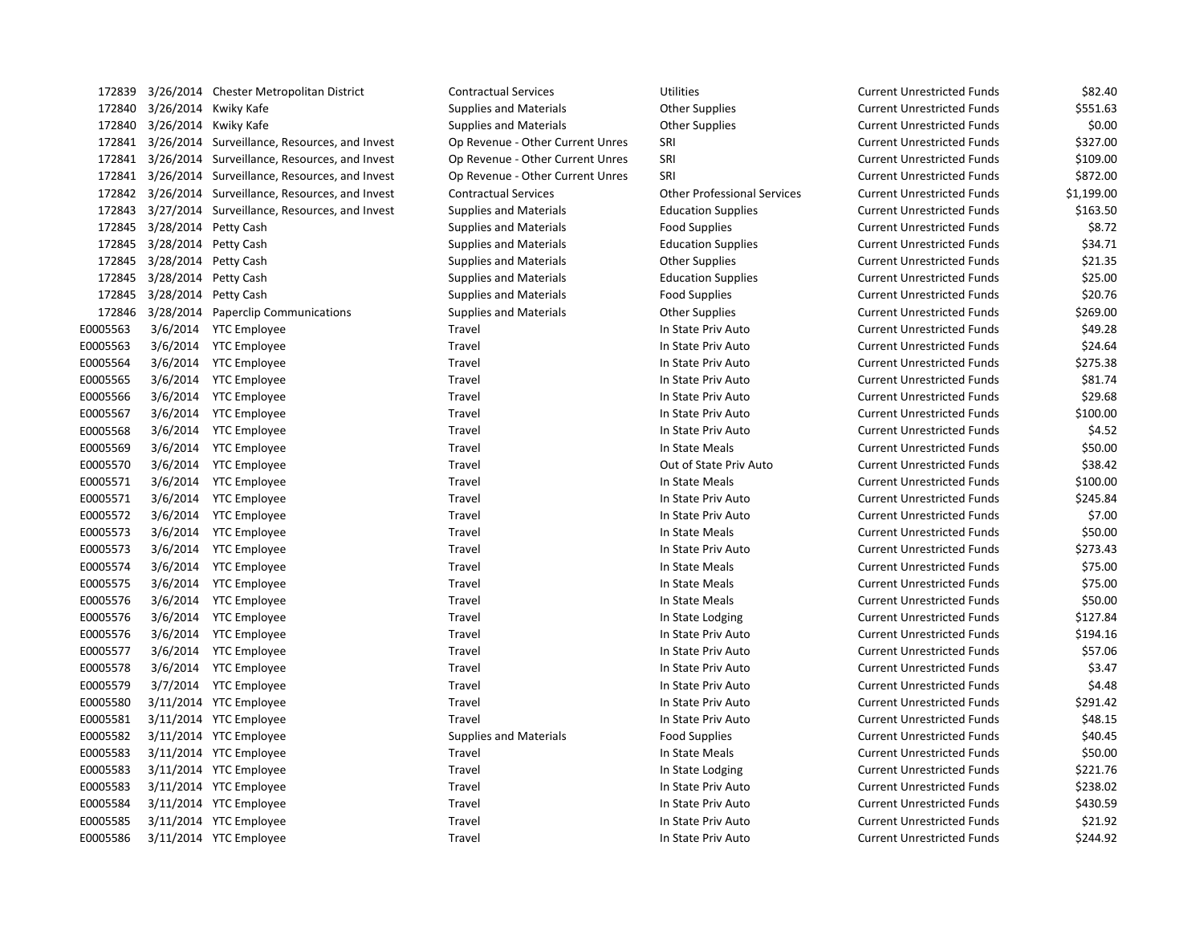| 172839   |                      | 3/26/2014 Chester Metropolitan District              | <b>Contractual Services</b>      | <b>Utilities</b>                   | <b>Current Unrestricted Funds</b> | \$82.40    |
|----------|----------------------|------------------------------------------------------|----------------------------------|------------------------------------|-----------------------------------|------------|
| 172840   |                      | 3/26/2014 Kwiky Kafe                                 | <b>Supplies and Materials</b>    | <b>Other Supplies</b>              | <b>Current Unrestricted Funds</b> | \$551.63   |
| 172840   |                      | 3/26/2014 Kwiky Kafe                                 | Supplies and Materials           | <b>Other Supplies</b>              | <b>Current Unrestricted Funds</b> | \$0.00     |
|          |                      | 172841 3/26/2014 Surveillance, Resources, and Invest | Op Revenue - Other Current Unres | SRI                                | <b>Current Unrestricted Funds</b> | \$327.00   |
|          |                      | 172841 3/26/2014 Surveillance, Resources, and Invest | Op Revenue - Other Current Unres | SRI                                | <b>Current Unrestricted Funds</b> | \$109.00   |
|          |                      | 172841 3/26/2014 Surveillance, Resources, and Invest | Op Revenue - Other Current Unres | SRI                                | <b>Current Unrestricted Funds</b> | \$872.00   |
|          |                      | 172842 3/26/2014 Surveillance, Resources, and Invest | <b>Contractual Services</b>      | <b>Other Professional Services</b> | <b>Current Unrestricted Funds</b> | \$1,199.00 |
|          |                      | 172843 3/27/2014 Surveillance, Resources, and Invest | <b>Supplies and Materials</b>    | <b>Education Supplies</b>          | <b>Current Unrestricted Funds</b> | \$163.50   |
| 172845   | 3/28/2014 Petty Cash |                                                      | <b>Supplies and Materials</b>    | <b>Food Supplies</b>               | <b>Current Unrestricted Funds</b> | \$8.72     |
| 172845   | 3/28/2014 Petty Cash |                                                      | <b>Supplies and Materials</b>    | <b>Education Supplies</b>          | <b>Current Unrestricted Funds</b> | \$34.71    |
| 172845   | 3/28/2014 Petty Cash |                                                      | <b>Supplies and Materials</b>    | <b>Other Supplies</b>              | <b>Current Unrestricted Funds</b> | \$21.35    |
| 172845   | 3/28/2014 Petty Cash |                                                      | <b>Supplies and Materials</b>    | <b>Education Supplies</b>          | <b>Current Unrestricted Funds</b> | \$25.00    |
| 172845   | 3/28/2014 Petty Cash |                                                      | <b>Supplies and Materials</b>    | <b>Food Supplies</b>               | <b>Current Unrestricted Funds</b> | \$20.76    |
| 172846   |                      | 3/28/2014 Paperclip Communications                   | <b>Supplies and Materials</b>    | <b>Other Supplies</b>              | <b>Current Unrestricted Funds</b> | \$269.00   |
| E0005563 |                      | 3/6/2014 YTC Employee                                | Travel                           | In State Priv Auto                 | <b>Current Unrestricted Funds</b> | \$49.28    |
| E0005563 |                      | 3/6/2014 YTC Employee                                | Travel                           | In State Priv Auto                 | <b>Current Unrestricted Funds</b> | \$24.64    |
| E0005564 |                      | 3/6/2014 YTC Employee                                | Travel                           | In State Priv Auto                 | <b>Current Unrestricted Funds</b> | \$275.38   |
| E0005565 |                      | 3/6/2014 YTC Employee                                | Travel                           | In State Priv Auto                 | <b>Current Unrestricted Funds</b> | \$81.74    |
| E0005566 | 3/6/2014             | <b>YTC Employee</b>                                  | Travel                           | In State Priv Auto                 | <b>Current Unrestricted Funds</b> | \$29.68    |
| E0005567 | 3/6/2014             | <b>YTC Employee</b>                                  | Travel                           | In State Priv Auto                 | <b>Current Unrestricted Funds</b> | \$100.00   |
| E0005568 |                      | 3/6/2014 YTC Employee                                | Travel                           | In State Priv Auto                 | <b>Current Unrestricted Funds</b> | \$4.52     |
| E0005569 |                      | 3/6/2014 YTC Employee                                | Travel                           | In State Meals                     | <b>Current Unrestricted Funds</b> | \$50.00    |
| E0005570 |                      | 3/6/2014 YTC Employee                                | Travel                           | Out of State Priv Auto             | <b>Current Unrestricted Funds</b> | \$38.42    |
| E0005571 |                      | 3/6/2014 YTC Employee                                | Travel                           | In State Meals                     | <b>Current Unrestricted Funds</b> | \$100.00   |
| E0005571 |                      | 3/6/2014 YTC Employee                                | Travel                           | In State Priv Auto                 | <b>Current Unrestricted Funds</b> | \$245.84   |
| E0005572 |                      | 3/6/2014 YTC Employee                                | Travel                           | In State Priv Auto                 | <b>Current Unrestricted Funds</b> | \$7.00     |
| E0005573 |                      | 3/6/2014 YTC Employee                                | Travel                           | In State Meals                     | <b>Current Unrestricted Funds</b> | \$50.00    |
| E0005573 |                      | 3/6/2014 YTC Employee                                | Travel                           | In State Priv Auto                 | <b>Current Unrestricted Funds</b> | \$273.43   |
| E0005574 |                      | 3/6/2014 YTC Employee                                | Travel                           | In State Meals                     | <b>Current Unrestricted Funds</b> | \$75.00    |
| E0005575 |                      | 3/6/2014 YTC Employee                                | Travel                           | In State Meals                     | <b>Current Unrestricted Funds</b> | \$75.00    |
| E0005576 |                      | 3/6/2014 YTC Employee                                | Travel                           | In State Meals                     | <b>Current Unrestricted Funds</b> | \$50.00    |
| E0005576 |                      | 3/6/2014 YTC Employee                                | Travel                           | In State Lodging                   | <b>Current Unrestricted Funds</b> | \$127.84   |
| E0005576 |                      | 3/6/2014 YTC Employee                                | Travel                           | In State Priv Auto                 | <b>Current Unrestricted Funds</b> | \$194.16   |
| E0005577 |                      | 3/6/2014 YTC Employee                                | Travel                           | In State Priv Auto                 | <b>Current Unrestricted Funds</b> | \$57.06    |
| E0005578 |                      | 3/6/2014 YTC Employee                                | Travel                           | In State Priv Auto                 | <b>Current Unrestricted Funds</b> | \$3.47     |
| E0005579 |                      | 3/7/2014 YTC Employee                                | Travel                           | In State Priv Auto                 | <b>Current Unrestricted Funds</b> | \$4.48     |
| E0005580 |                      | 3/11/2014 YTC Employee                               | Travel                           | In State Priv Auto                 | <b>Current Unrestricted Funds</b> | \$291.42   |
| E0005581 |                      | 3/11/2014 YTC Employee                               | Travel                           | In State Priv Auto                 | <b>Current Unrestricted Funds</b> | \$48.15    |
| E0005582 |                      | 3/11/2014 YTC Employee                               | <b>Supplies and Materials</b>    | <b>Food Supplies</b>               | <b>Current Unrestricted Funds</b> | \$40.45    |
| E0005583 |                      | 3/11/2014 YTC Employee                               | Travel                           | In State Meals                     | <b>Current Unrestricted Funds</b> | \$50.00    |
| E0005583 |                      | 3/11/2014 YTC Employee                               | Travel                           | In State Lodging                   | <b>Current Unrestricted Funds</b> | \$221.76   |
| E0005583 |                      | 3/11/2014 YTC Employee                               | Travel                           | In State Priv Auto                 | <b>Current Unrestricted Funds</b> | \$238.02   |
| E0005584 |                      | 3/11/2014 YTC Employee                               | Travel                           | In State Priv Auto                 | <b>Current Unrestricted Funds</b> | \$430.59   |
| E0005585 |                      | 3/11/2014 YTC Employee                               | Travel                           | In State Priv Auto                 | <b>Current Unrestricted Funds</b> | \$21.92    |
| E0005586 |                      | 3/11/2014 YTC Employee                               | Travel                           | In State Priv Auto                 | <b>Current Unrestricted Funds</b> | \$244.92   |

| urrent Unrestricted Funds | \$82.40    |
|---------------------------|------------|
| urrent Unrestricted Funds | \$551.63   |
| urrent Unrestricted Funds | \$0.00     |
| urrent Unrestricted Funds | \$327.00   |
| urrent Unrestricted Funds | \$109.00   |
| urrent Unrestricted Funds | \$872.00   |
| urrent Unrestricted Funds | \$1,199.00 |
| urrent Unrestricted Funds | \$163.50   |
| urrent Unrestricted Funds | \$8.72     |
| urrent Unrestricted Funds | \$34.71    |
| urrent Unrestricted Funds | \$21.35    |
| urrent Unrestricted Funds | \$25.00    |
| urrent Unrestricted Funds | \$20.76    |
| urrent Unrestricted Funds | \$269.00   |
| urrent Unrestricted Funds | \$49.28    |
| urrent Unrestricted Funds | \$24.64    |
| urrent Unrestricted Funds | \$275.38   |
| urrent Unrestricted Funds | \$81.74    |
| urrent Unrestricted Funds | \$29.68    |
| urrent Unrestricted Funds | \$100.00   |
| urrent Unrestricted Funds | \$4.52     |
| urrent Unrestricted Funds | \$50.00    |
| urrent Unrestricted Funds | \$38.42    |
| urrent Unrestricted Funds | \$100.00   |
| urrent Unrestricted Funds | \$245.84   |
| urrent Unrestricted Funds | \$7.00     |
| urrent Unrestricted Funds | \$50.00    |
| urrent Unrestricted Funds | \$273.43   |
| urrent Unrestricted Funds | \$75.00    |
| urrent Unrestricted Funds | \$75.00    |
| urrent Unrestricted Funds | \$50.00    |
| urrent Unrestricted Funds | \$127.84   |
| urrent Unrestricted Funds | \$194.16   |
| urrent Unrestricted Funds | \$57.06    |
| urrent Unrestricted Funds | \$3.47     |
| urrent Unrestricted Funds | \$4.48     |
| urrent Unrestricted Funds | \$291.42   |
| urrent Unrestricted Funds | \$48.15    |
| urrent Unrestricted Funds | \$40.45    |
| urrent Unrestricted Funds | \$50.00    |
| urrent Unrestricted Funds | \$221.76   |
| urrent Unrestricted Funds | \$238.02   |
| urrent Unrestricted Funds | \$430.59   |
| urrent Unrestricted Funds | \$21.92    |
| urrent Unrestricted Funds | \$244.92   |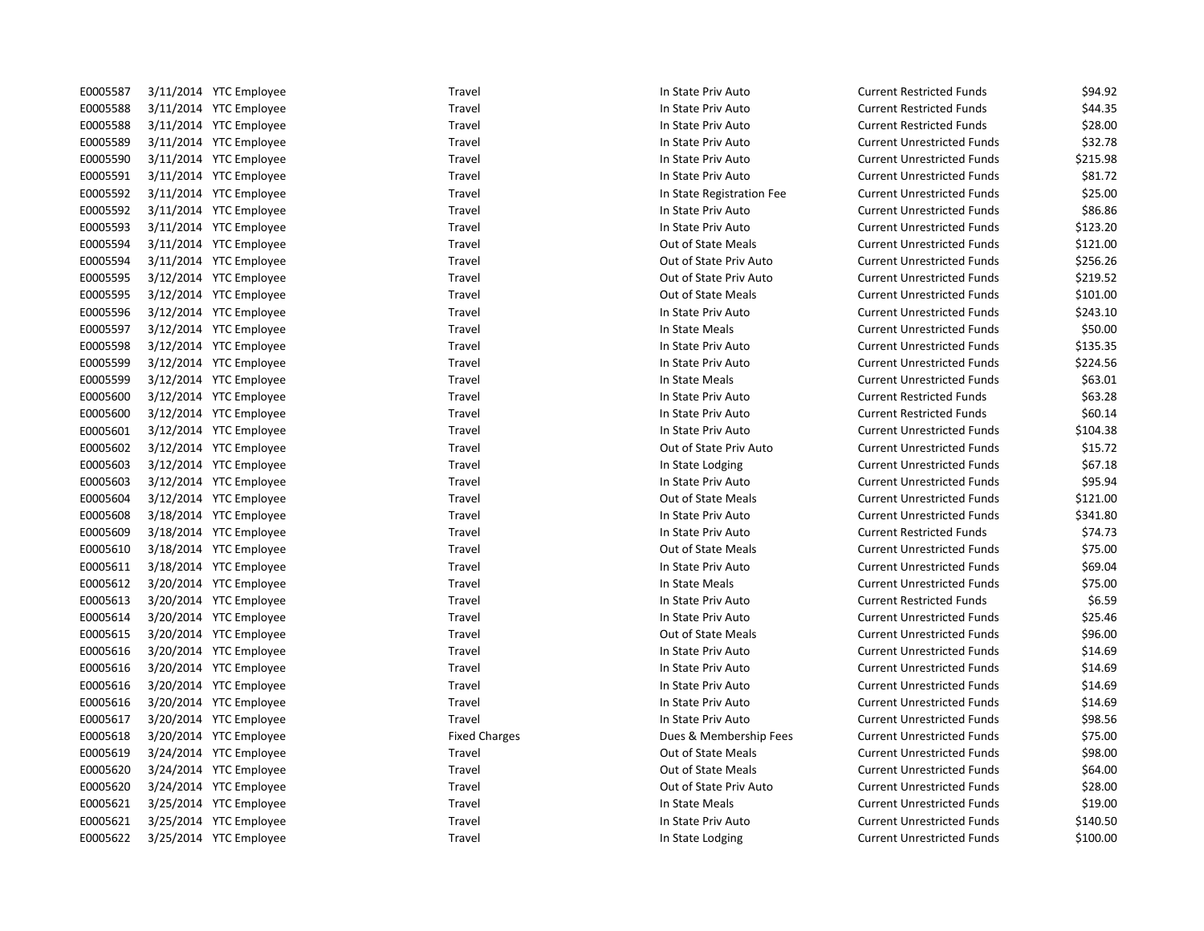| E0005587 | 3/11/2014 YTC Employee | Travel               | In State Priv Auto        | <b>Current Restricted Funds</b>   | \$94.92  |
|----------|------------------------|----------------------|---------------------------|-----------------------------------|----------|
| E0005588 | 3/11/2014 YTC Employee | Travel               | In State Priv Auto        | <b>Current Restricted Funds</b>   | \$44.35  |
| E0005588 | 3/11/2014 YTC Employee | Travel               | In State Priv Auto        | <b>Current Restricted Funds</b>   | \$28.00  |
| E0005589 | 3/11/2014 YTC Employee | Travel               | In State Priv Auto        | <b>Current Unrestricted Funds</b> | \$32.78  |
| E0005590 | 3/11/2014 YTC Employee | Travel               | In State Priv Auto        | <b>Current Unrestricted Funds</b> | \$215.98 |
| E0005591 | 3/11/2014 YTC Employee | Travel               | In State Priv Auto        | <b>Current Unrestricted Funds</b> | \$81.72  |
| E0005592 | 3/11/2014 YTC Employee | Travel               | In State Registration Fee | <b>Current Unrestricted Funds</b> | \$25.00  |
| E0005592 | 3/11/2014 YTC Employee | Travel               | In State Priv Auto        | <b>Current Unrestricted Funds</b> | \$86.86  |
| E0005593 | 3/11/2014 YTC Employee | Travel               | In State Priv Auto        | <b>Current Unrestricted Funds</b> | \$123.20 |
| E0005594 | 3/11/2014 YTC Employee | Travel               | Out of State Meals        | <b>Current Unrestricted Funds</b> | \$121.00 |
| E0005594 | 3/11/2014 YTC Employee | Travel               | Out of State Priv Auto    | <b>Current Unrestricted Funds</b> | \$256.26 |
| E0005595 | 3/12/2014 YTC Employee | Travel               | Out of State Priv Auto    | <b>Current Unrestricted Funds</b> | \$219.52 |
| E0005595 | 3/12/2014 YTC Employee | Travel               | Out of State Meals        | <b>Current Unrestricted Funds</b> | \$101.00 |
| E0005596 | 3/12/2014 YTC Employee | Travel               | In State Priv Auto        | <b>Current Unrestricted Funds</b> | \$243.10 |
| E0005597 | 3/12/2014 YTC Employee | Travel               | In State Meals            | <b>Current Unrestricted Funds</b> | \$50.00  |
| E0005598 | 3/12/2014 YTC Employee | Travel               | In State Priv Auto        | <b>Current Unrestricted Funds</b> | \$135.35 |
| E0005599 | 3/12/2014 YTC Employee | Travel               | In State Priv Auto        | <b>Current Unrestricted Funds</b> | \$224.56 |
| E0005599 | 3/12/2014 YTC Employee | Travel               | In State Meals            | <b>Current Unrestricted Funds</b> | \$63.01  |
| E0005600 | 3/12/2014 YTC Employee | Travel               | In State Priv Auto        | <b>Current Restricted Funds</b>   | \$63.28  |
| E0005600 | 3/12/2014 YTC Employee | Travel               | In State Priv Auto        | <b>Current Restricted Funds</b>   | \$60.14  |
| E0005601 | 3/12/2014 YTC Employee | Travel               | In State Priv Auto        | <b>Current Unrestricted Funds</b> | \$104.38 |
| E0005602 | 3/12/2014 YTC Employee | Travel               | Out of State Priv Auto    | <b>Current Unrestricted Funds</b> | \$15.72  |
| E0005603 | 3/12/2014 YTC Employee | Travel               | In State Lodging          | <b>Current Unrestricted Funds</b> | \$67.18  |
| E0005603 | 3/12/2014 YTC Employee | Travel               | In State Priv Auto        | <b>Current Unrestricted Funds</b> | \$95.94  |
| E0005604 | 3/12/2014 YTC Employee | Travel               | Out of State Meals        | <b>Current Unrestricted Funds</b> | \$121.00 |
| E0005608 | 3/18/2014 YTC Employee | Travel               | In State Priv Auto        | <b>Current Unrestricted Funds</b> | \$341.80 |
| E0005609 | 3/18/2014 YTC Employee | Travel               | In State Priv Auto        | <b>Current Restricted Funds</b>   | \$74.73  |
| E0005610 | 3/18/2014 YTC Employee | Travel               | Out of State Meals        | <b>Current Unrestricted Funds</b> | \$75.00  |
| E0005611 | 3/18/2014 YTC Employee | Travel               | In State Priv Auto        | <b>Current Unrestricted Funds</b> | \$69.04  |
| E0005612 | 3/20/2014 YTC Employee | Travel               | In State Meals            | <b>Current Unrestricted Funds</b> | \$75.00  |
| E0005613 | 3/20/2014 YTC Employee | Travel               | In State Priv Auto        | <b>Current Restricted Funds</b>   | \$6.59   |
| E0005614 | 3/20/2014 YTC Employee | Travel               | In State Priv Auto        | <b>Current Unrestricted Funds</b> | \$25.46  |
| E0005615 | 3/20/2014 YTC Employee | Travel               | Out of State Meals        | <b>Current Unrestricted Funds</b> | \$96.00  |
| E0005616 | 3/20/2014 YTC Employee | Travel               | In State Priv Auto        | <b>Current Unrestricted Funds</b> | \$14.69  |
| E0005616 | 3/20/2014 YTC Employee | Travel               | In State Priv Auto        | <b>Current Unrestricted Funds</b> | \$14.69  |
| E0005616 | 3/20/2014 YTC Employee | Travel               | In State Priv Auto        | <b>Current Unrestricted Funds</b> | \$14.69  |
| E0005616 | 3/20/2014 YTC Employee | Travel               | In State Priv Auto        | <b>Current Unrestricted Funds</b> | \$14.69  |
| E0005617 | 3/20/2014 YTC Employee | Travel               | In State Priv Auto        | <b>Current Unrestricted Funds</b> | \$98.56  |
| E0005618 | 3/20/2014 YTC Employee | <b>Fixed Charges</b> | Dues & Membership Fees    | <b>Current Unrestricted Funds</b> | \$75.00  |
| E0005619 | 3/24/2014 YTC Employee | Travel               | Out of State Meals        | <b>Current Unrestricted Funds</b> | \$98.00  |
| E0005620 | 3/24/2014 YTC Employee | Travel               | Out of State Meals        | <b>Current Unrestricted Funds</b> | \$64.00  |
| E0005620 | 3/24/2014 YTC Employee | Travel               | Out of State Priv Auto    | <b>Current Unrestricted Funds</b> | \$28.00  |
| E0005621 | 3/25/2014 YTC Employee | Travel               | In State Meals            | <b>Current Unrestricted Funds</b> | \$19.00  |
| E0005621 | 3/25/2014 YTC Employee | Travel               | In State Priv Auto        | <b>Current Unrestricted Funds</b> | \$140.50 |
| E0005622 | 3/25/2014 YTC Employee | Travel               | In State Lodging          | <b>Current Unrestricted Funds</b> | \$100.00 |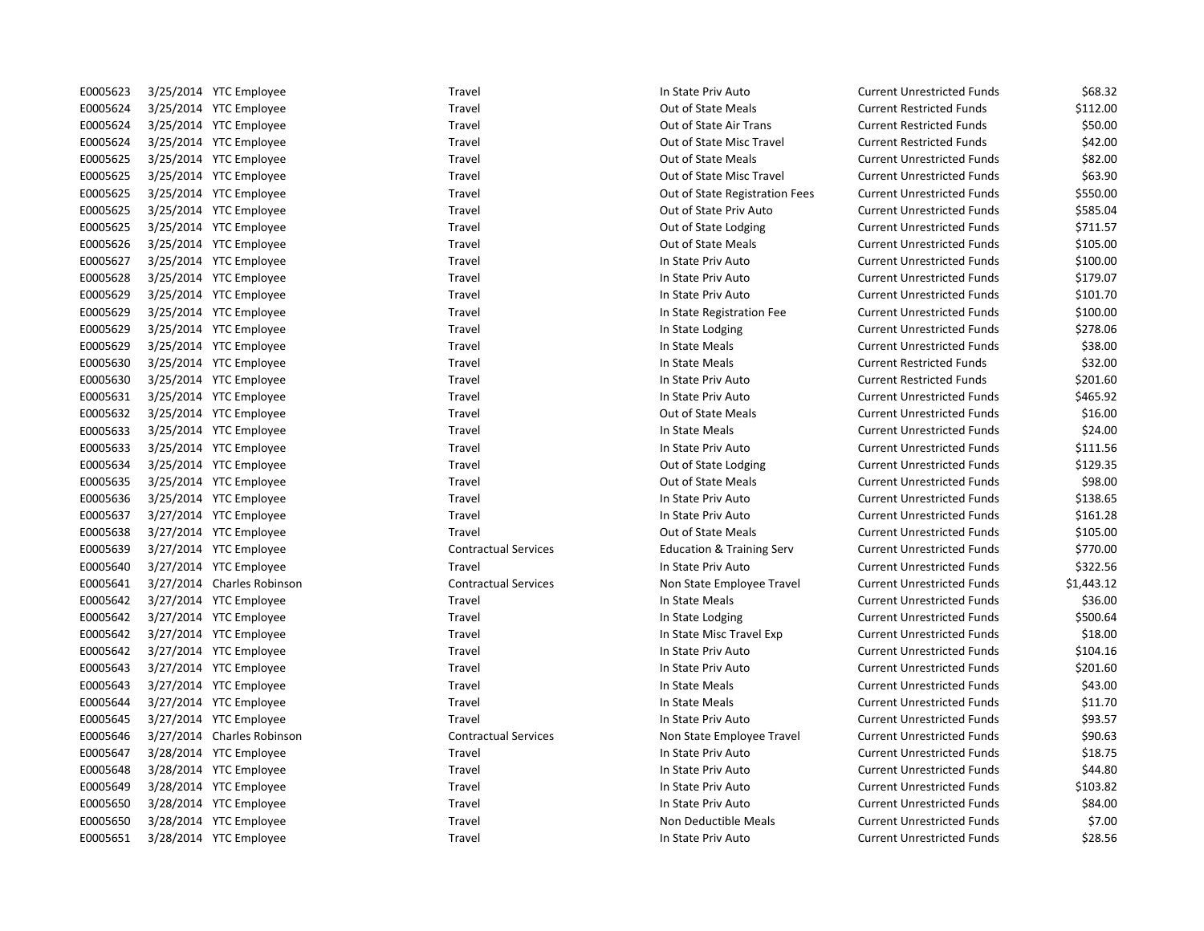| E0005623 | 3/25/2014 YTC Employee     | Travel                      | In State Priv Auto                   | <b>Current Unrestricted Funds</b> | \$68.32    |
|----------|----------------------------|-----------------------------|--------------------------------------|-----------------------------------|------------|
| E0005624 | 3/25/2014 YTC Employee     | Travel                      | Out of State Meals                   | <b>Current Restricted Funds</b>   | \$112.00   |
| E0005624 | 3/25/2014 YTC Employee     | Travel                      | Out of State Air Trans               | <b>Current Restricted Funds</b>   | \$50.00    |
| E0005624 | 3/25/2014 YTC Employee     | Travel                      | Out of State Misc Travel             | <b>Current Restricted Funds</b>   | \$42.00    |
| E0005625 | 3/25/2014 YTC Employee     | Travel                      | Out of State Meals                   | <b>Current Unrestricted Funds</b> | \$82.00    |
| E0005625 | 3/25/2014 YTC Employee     | Travel                      | Out of State Misc Travel             | <b>Current Unrestricted Funds</b> | \$63.90    |
| E0005625 | 3/25/2014 YTC Employee     | Travel                      | Out of State Registration Fees       | <b>Current Unrestricted Funds</b> | \$550.00   |
| E0005625 | 3/25/2014 YTC Employee     | Travel                      | Out of State Priv Auto               | <b>Current Unrestricted Funds</b> | \$585.04   |
| E0005625 | 3/25/2014 YTC Employee     | Travel                      | Out of State Lodging                 | <b>Current Unrestricted Funds</b> | \$711.57   |
| E0005626 | 3/25/2014 YTC Employee     | Travel                      | Out of State Meals                   | <b>Current Unrestricted Funds</b> | \$105.00   |
| E0005627 | 3/25/2014 YTC Employee     | Travel                      | In State Priv Auto                   | <b>Current Unrestricted Funds</b> | \$100.00   |
| E0005628 | 3/25/2014 YTC Employee     | Travel                      | In State Priv Auto                   | <b>Current Unrestricted Funds</b> | \$179.07   |
| E0005629 | 3/25/2014 YTC Employee     | Travel                      | In State Priv Auto                   | <b>Current Unrestricted Funds</b> | \$101.70   |
| E0005629 | 3/25/2014 YTC Employee     | Travel                      | In State Registration Fee            | <b>Current Unrestricted Funds</b> | \$100.00   |
| E0005629 | 3/25/2014 YTC Employee     | Travel                      | In State Lodging                     | <b>Current Unrestricted Funds</b> | \$278.06   |
| E0005629 | 3/25/2014 YTC Employee     | Travel                      | In State Meals                       | <b>Current Unrestricted Funds</b> | \$38.00    |
| E0005630 | 3/25/2014 YTC Employee     | Travel                      | In State Meals                       | <b>Current Restricted Funds</b>   | \$32.00    |
| E0005630 | 3/25/2014 YTC Employee     | Travel                      | In State Priv Auto                   | <b>Current Restricted Funds</b>   | \$201.60   |
| E0005631 | 3/25/2014 YTC Employee     | Travel                      | In State Priv Auto                   | <b>Current Unrestricted Funds</b> | \$465.92   |
| E0005632 | 3/25/2014 YTC Employee     | Travel                      | Out of State Meals                   | <b>Current Unrestricted Funds</b> | \$16.00    |
| E0005633 | 3/25/2014 YTC Employee     | Travel                      | In State Meals                       | <b>Current Unrestricted Funds</b> | \$24.00    |
| E0005633 | 3/25/2014 YTC Employee     | Travel                      | In State Priv Auto                   | <b>Current Unrestricted Funds</b> | \$111.56   |
| E0005634 | 3/25/2014 YTC Employee     | Travel                      | Out of State Lodging                 | <b>Current Unrestricted Funds</b> | \$129.35   |
| E0005635 | 3/25/2014 YTC Employee     | Travel                      | Out of State Meals                   | <b>Current Unrestricted Funds</b> | \$98.00    |
| E0005636 | 3/25/2014 YTC Employee     | Travel                      | In State Priv Auto                   | <b>Current Unrestricted Funds</b> | \$138.65   |
| E0005637 | 3/27/2014 YTC Employee     | Travel                      | In State Priv Auto                   | <b>Current Unrestricted Funds</b> | \$161.28   |
| E0005638 | 3/27/2014 YTC Employee     | Travel                      | Out of State Meals                   | <b>Current Unrestricted Funds</b> | \$105.00   |
| E0005639 | 3/27/2014 YTC Employee     | <b>Contractual Services</b> | <b>Education &amp; Training Serv</b> | <b>Current Unrestricted Funds</b> | \$770.00   |
| E0005640 | 3/27/2014 YTC Employee     | Travel                      | In State Priv Auto                   | <b>Current Unrestricted Funds</b> | \$322.56   |
| E0005641 | 3/27/2014 Charles Robinson | <b>Contractual Services</b> | Non State Employee Travel            | <b>Current Unrestricted Funds</b> | \$1,443.12 |
| E0005642 | 3/27/2014 YTC Employee     | Travel                      | In State Meals                       | <b>Current Unrestricted Funds</b> | \$36.00    |
| E0005642 | 3/27/2014 YTC Employee     | Travel                      | In State Lodging                     | <b>Current Unrestricted Funds</b> | \$500.64   |
| E0005642 | 3/27/2014 YTC Employee     | Travel                      | In State Misc Travel Exp             | <b>Current Unrestricted Funds</b> | \$18.00    |
| E0005642 | 3/27/2014 YTC Employee     | Travel                      | In State Priv Auto                   | <b>Current Unrestricted Funds</b> | \$104.16   |
| E0005643 | 3/27/2014 YTC Employee     | Travel                      | In State Priv Auto                   | <b>Current Unrestricted Funds</b> | \$201.60   |
| E0005643 | 3/27/2014 YTC Employee     | Travel                      | In State Meals                       | <b>Current Unrestricted Funds</b> | \$43.00    |
| E0005644 | 3/27/2014 YTC Employee     | Travel                      | In State Meals                       | <b>Current Unrestricted Funds</b> | \$11.70    |
| E0005645 | 3/27/2014 YTC Employee     | Travel                      | In State Priv Auto                   | <b>Current Unrestricted Funds</b> | \$93.57    |
| E0005646 | 3/27/2014 Charles Robinson | <b>Contractual Services</b> | Non State Employee Travel            | <b>Current Unrestricted Funds</b> | \$90.63    |
| E0005647 | 3/28/2014 YTC Employee     | Travel                      | In State Priv Auto                   | <b>Current Unrestricted Funds</b> | \$18.75    |
| E0005648 | 3/28/2014 YTC Employee     | Travel                      | In State Priv Auto                   | <b>Current Unrestricted Funds</b> | \$44.80    |
| E0005649 | 3/28/2014 YTC Employee     | Travel                      | In State Priv Auto                   | <b>Current Unrestricted Funds</b> | \$103.82   |
| E0005650 | 3/28/2014 YTC Employee     | Travel                      | In State Priv Auto                   | <b>Current Unrestricted Funds</b> | \$84.00    |
| E0005650 | 3/28/2014 YTC Employee     | Travel                      | Non Deductible Meals                 | <b>Current Unrestricted Funds</b> | \$7.00     |
| E0005651 | 3/28/2014 YTC Employee     | Travel                      | In State Priv Auto                   | <b>Current Unrestricted Funds</b> | \$28.56    |